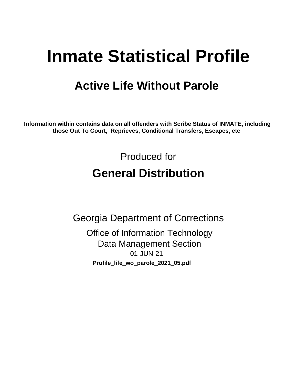# **Inmate Statistical Profile**

## **Active Life Without Parole**

Information within contains data on all offenders with Scribe Status of INMATE, including those Out To Court, Reprieves, Conditional Transfers, Escapes, etc

> Produced for **General Distribution**

**Georgia Department of Corrections Office of Information Technology Data Management Section** 01-JUN-21 Profile\_life\_wo\_parole\_2021\_05.pdf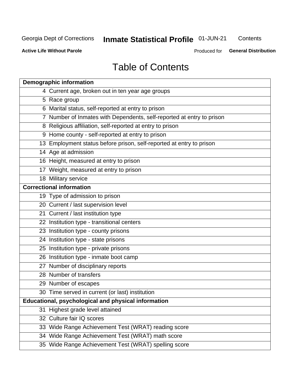## **Inmate Statistical Profile 01-JUN-21**

Contents

**Active Life Without Parole** 

Produced for **General Distribution** 

## **Table of Contents**

|    | <b>Demographic information</b>                                        |
|----|-----------------------------------------------------------------------|
|    | 4 Current age, broken out in ten year age groups                      |
|    | 5 Race group                                                          |
|    | 6 Marital status, self-reported at entry to prison                    |
|    | 7 Number of Inmates with Dependents, self-reported at entry to prison |
|    | 8 Religious affiliation, self-reported at entry to prison             |
|    | 9 Home county - self-reported at entry to prison                      |
|    | 13 Employment status before prison, self-reported at entry to prison  |
|    | 14 Age at admission                                                   |
|    | 16 Height, measured at entry to prison                                |
|    | 17 Weight, measured at entry to prison                                |
|    | 18 Military service                                                   |
|    | <b>Correctional information</b>                                       |
|    | 19 Type of admission to prison                                        |
|    | 20 Current / last supervision level                                   |
|    | 21 Current / last institution type                                    |
|    | 22 Institution type - transitional centers                            |
|    | 23 Institution type - county prisons                                  |
|    | 24 Institution type - state prisons                                   |
|    | 25 Institution type - private prisons                                 |
|    | 26 Institution type - inmate boot camp                                |
|    | 27 Number of disciplinary reports                                     |
|    | 28 Number of transfers                                                |
|    | 29 Number of escapes                                                  |
|    | 30 Time served in current (or last) institution                       |
|    | Educational, psychological and physical information                   |
| 31 | Highest grade level attained                                          |
|    | 32 Culture fair IQ scores                                             |
|    | 33 Wide Range Achievement Test (WRAT) reading score                   |
|    | 34 Wide Range Achievement Test (WRAT) math score                      |
|    | 35 Wide Range Achievement Test (WRAT) spelling score                  |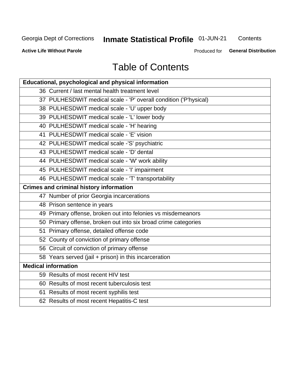## **Inmate Statistical Profile 01-JUN-21**

Contents

**Active Life Without Parole** 

Produced for General Distribution

## **Table of Contents**

| Educational, psychological and physical information              |
|------------------------------------------------------------------|
| 36 Current / last mental health treatment level                  |
| 37 PULHESDWIT medical scale - 'P' overall condition ('P'hysical) |
| 38 PULHESDWIT medical scale - 'U' upper body                     |
| 39 PULHESDWIT medical scale - 'L' lower body                     |
| 40 PULHESDWIT medical scale - 'H' hearing                        |
| 41 PULHESDWIT medical scale - 'E' vision                         |
| 42 PULHESDWIT medical scale -'S' psychiatric                     |
| 43 PULHESDWIT medical scale - 'D' dental                         |
| 44 PULHESDWIT medical scale - 'W' work ability                   |
| 45 PULHESDWIT medical scale - 'I' impairment                     |
| 46 PULHESDWIT medical scale - 'T' transportability               |
| <b>Crimes and criminal history information</b>                   |
| 47 Number of prior Georgia incarcerations                        |
| 48 Prison sentence in years                                      |
| 49 Primary offense, broken out into felonies vs misdemeanors     |
| 50 Primary offense, broken out into six broad crime categories   |
| 51 Primary offense, detailed offense code                        |
| 52 County of conviction of primary offense                       |
| 56 Circuit of conviction of primary offense                      |
| 58 Years served (jail + prison) in this incarceration            |
| <b>Medical information</b>                                       |
| 59 Results of most recent HIV test                               |
| 60 Results of most recent tuberculosis test                      |
| 61 Results of most recent syphilis test                          |
| 62 Results of most recent Hepatitis-C test                       |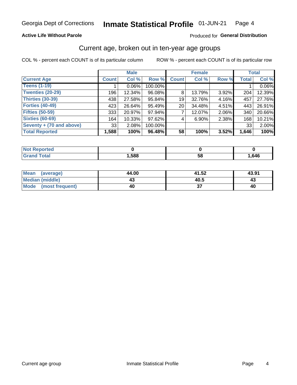### **Active Life Without Parole**

### Produced for General Distribution

## Current age, broken out in ten-year age groups

COL % - percent each COUNT is of its particular column

|                          |              | <b>Male</b> |         | <b>Female</b>   |          |          | <b>Total</b> |        |
|--------------------------|--------------|-------------|---------|-----------------|----------|----------|--------------|--------|
| <b>Current Age</b>       | <b>Count</b> | Col %       | Row %   | <b>Count</b>    | Col %    | Row %    | <b>Total</b> | Col %  |
| <b>Teens (1-19)</b>      |              | $0.06\%$    | 100.00% |                 |          |          |              | 0.06%  |
| <b>Twenties (20-29)</b>  | 196          | 12.34%      | 96.08%  | 8               | 13.79%   | $3.92\%$ | 204          | 12.39% |
| Thirties (30-39)         | 438          | 27.58%      | 95.84%  | 19              | 32.76%   | 4.16%    | 457          | 27.76% |
| <b>Forties (40-49)</b>   | 423          | 26.64%      | 95.49%  | 20 <sub>1</sub> | 34.48%   | 4.51%    | 443          | 26.91% |
| <b>Fifties (50-59)</b>   | 333          | 20.97%      | 97.94%  |                 | 12.07%   | $2.06\%$ | 340          | 20.66% |
| <b>Sixties (60-69)</b>   | 164          | 10.33%      | 97.62%  | 4               | $6.90\%$ | 2.38%    | 168          | 10.21% |
| Seventy + (70 and above) | 33           | 2.08%       | 100.00% |                 |          |          | 33           | 2.00%  |
| <b>Total Reported</b>    | 1,588        | 100%        | 96.48%  | 58              | 100%     | 3.52%    | 1,646        | 100%   |

| <b>Not Reported</b>  |      |     |      |
|----------------------|------|-----|------|
| <b>Total</b><br>Cror | ,588 | -58 | ,646 |

| Mean<br>(average)    | 44.00 | 41.52 | 43.91 |
|----------------------|-------|-------|-------|
| Median (middle)      |       | 40.5  | 43    |
| Mode (most frequent) | 40    |       | 40    |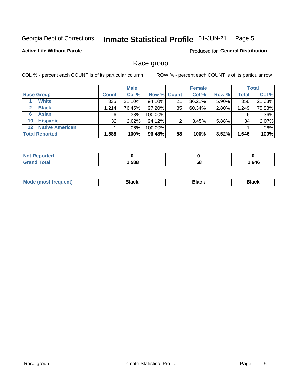#### **Inmate Statistical Profile 01-JUN-21** Page 5

### **Active Life Without Parole**

Produced for General Distribution

## Race group

COL % - percent each COUNT is of its particular column

|                       |                        |              | <b>Male</b> |         |                    | <b>Female</b> |       |                  | <b>Total</b> |  |
|-----------------------|------------------------|--------------|-------------|---------|--------------------|---------------|-------|------------------|--------------|--|
|                       | <b>Race Group</b>      | <b>Count</b> | Col %       |         | <b>Row % Count</b> | Col %         | Row % | <b>Total</b>     | Col %        |  |
|                       | <b>White</b>           | 335          | 21.10%      | 94.10%  | 21                 | 36.21%        | 5.90% | 356 <sub>1</sub> | 21.63%       |  |
| $\mathbf{2}$          | <b>Black</b>           | 1.214        | 76.45%      | 97.20%  | 35                 | 60.34%        | 2.80% | 1,249            | 75.88%       |  |
| 6                     | <b>Asian</b>           | 6            | .38%        | 100.00% |                    |               |       | 6                | .36%         |  |
| 10                    | <b>Hispanic</b>        | 32           | 2.02%       | 94.12%  | ◠                  | 3.45%         | 5.88% | 34               | 2.07%        |  |
| 12 <sup>1</sup>       | <b>Native American</b> |              | .06%        | 100.00% |                    |               |       |                  | .06%         |  |
| <b>Total Reported</b> |                        | 1,588        | 100%        | 96.48%  | 58                 | 100%          | 3.52% | 1,646            | 100%         |  |

| <b>rtea</b>       |      |    |      |
|-------------------|------|----|------|
| $F \sim 4 \sim 7$ | ,588 | 58 | .646 |

| M | - - - |  |
|---|-------|--|
|   |       |  |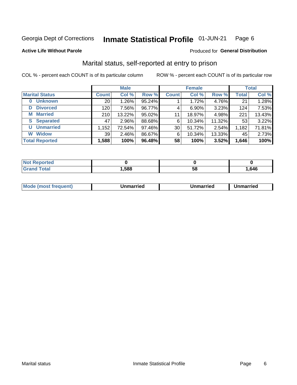#### Inmate Statistical Profile 01-JUN-21 Page 6

### **Active Life Without Parole**

### Produced for General Distribution

## Marital status, self-reported at entry to prison

COL % - percent each COUNT is of its particular column

|                            | <b>Male</b>  |          |        |              | <b>Female</b> | <b>Total</b> |              |        |
|----------------------------|--------------|----------|--------|--------------|---------------|--------------|--------------|--------|
| <b>Marital Status</b>      | <b>Count</b> | Col %    | Row %  | <b>Count</b> | Col %         | Row %        | <b>Total</b> | Col %  |
| <b>Unknown</b><br>$\bf{0}$ | 20           | $1.26\%$ | 95.24% |              | 1.72%         | 4.76%        | 21           | 1.28%  |
| <b>Divorced</b><br>D       | 120          | 7.56%    | 96.77% | 4            | 6.90%         | 3.23%        | 124          | 7.53%  |
| <b>Married</b><br>М        | 210          | 13.22%   | 95.02% | 11           | 18.97%        | 4.98%        | 221          | 13.43% |
| <b>Separated</b><br>S.     | 47           | $2.96\%$ | 88.68% | 6            | 10.34%        | 11.32%       | 53           | 3.22%  |
| <b>Unmarried</b><br>U      | 1,152        | 72.54%   | 97.46% | 30           | 51.72%        | 2.54%        | 1,182        | 71.81% |
| <b>Widow</b><br>W          | 39           | $2.46\%$ | 86.67% | 6            | 10.34%        | 13.33%       | 45           | 2.73%  |
| <b>Total Reported</b>      | 1,588        | 100%     | 96.48% | 58           | 100%          | 3.52%        | 1,646        | 100%   |

| <b>Not Reported</b> |      |    |      |
|---------------------|------|----|------|
| <b>Total</b>        | ,588 | ວດ | .646 |

|--|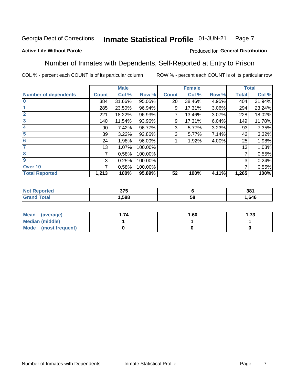#### Inmate Statistical Profile 01-JUN-21 Page 7

### **Active Life Without Parole**

### Produced for General Distribution

## Number of Inmates with Dependents, Self-Reported at Entry to Prison

COL % - percent each COUNT is of its particular column

|                             |              | <b>Male</b> |         |              | <b>Female</b> |       |              | <b>Total</b> |
|-----------------------------|--------------|-------------|---------|--------------|---------------|-------|--------------|--------------|
| <b>Number of dependents</b> | <b>Count</b> | Col %       | Row %   | <b>Count</b> | Col %         | Row % | <b>Total</b> | Col %        |
| $\bf{0}$                    | 384          | 31.66%      | 95.05%  | 20           | 38.46%        | 4.95% | 404          | 31.94%       |
|                             | 285          | 23.50%      | 96.94%  | 9            | 17.31%        | 3.06% | 294          | 23.24%       |
| $\overline{2}$              | 221          | 18.22%      | 96.93%  |              | 13.46%        | 3.07% | 228          | 18.02%       |
| 3                           | 140          | 11.54%      | 93.96%  | 9            | 17.31%        | 6.04% | 149          | 11.78%       |
| 4                           | 90           | 7.42%       | 96.77%  | 3            | 5.77%         | 3.23% | 93           | 7.35%        |
| 5                           | 39           | 3.22%       | 92.86%  | 3            | 5.77%         | 7.14% | 42           | 3.32%        |
| $6\phantom{1}6$             | 24           | 1.98%       | 96.00%  |              | 1.92%         | 4.00% | 25           | 1.98%        |
| 7                           | 13           | 1.07%       | 100.00% |              |               |       | 13           | 1.03%        |
| 8                           | 7            | 0.58%       | 100.00% |              |               |       | 7            | 0.55%        |
| 9                           | 3            | 0.25%       | 100.00% |              |               |       | 3            | 0.24%        |
| Over 10                     | 7            | 0.58%       | 100.00% |              |               |       | 7            | 0.55%        |
| <b>Total Reported</b>       | 1,213        | 100%        | 95.89%  | 52           | 100%          | 4.11% | 1,265        | 100%         |

| $\sim$<br>J I J<br>$ -$ |          | 381  |
|-------------------------|----------|------|
| .588                    | . .<br>◡ | .646 |

| <b>Mean</b><br>(average) | 1.60 | - 72<br>I. I J |
|--------------------------|------|----------------|
| Median (middle)          |      |                |
| Mode<br>(most frequent)  |      |                |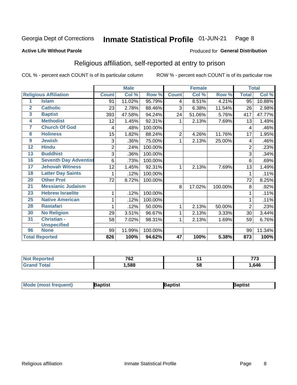#### Inmate Statistical Profile 01-JUN-21 Page 8

### **Active Life Without Parole**

### Produced for General Distribution

## Religious affiliation, self-reported at entry to prison

COL % - percent each COUNT is of its particular column

|                         |                              |                | <b>Male</b> |         |                 | <b>Female</b> |         |                | <b>Total</b> |
|-------------------------|------------------------------|----------------|-------------|---------|-----------------|---------------|---------|----------------|--------------|
|                         | <b>Religious Affiliation</b> | <b>Count</b>   | Col %       | Row %   | <b>Count</b>    | Col %         | Row %   | <b>Total</b>   | Col %        |
| 1                       | <b>Islam</b>                 | 91             | 11.02%      | 95.79%  | 4               | 8.51%         | 4.21%   | 95             | 10.88%       |
| $\overline{\mathbf{2}}$ | <b>Catholic</b>              | 23             | 2.78%       | 88.46%  | 3               | 6.38%         | 11.54%  | 26             | 2.98%        |
| 3                       | <b>Baptist</b>               | 393            | 47.58%      | 94.24%  | 24              | 51.06%        | 5.76%   | 417            | 47.77%       |
| 4                       | <b>Methodist</b>             | 12             | 1.45%       | 92.31%  |                 | 2.13%         | 7.69%   | 13             | 1.49%        |
| 7                       | <b>Church Of God</b>         | 4              | .48%        | 100.00% |                 |               |         | 4              | .46%         |
| 8                       | <b>Holiness</b>              | 15             | 1.82%       | 88.24%  | 2               | 4.26%         | 11.76%  | 17             | 1.95%        |
| 9                       | <b>Jewish</b>                | 3              | .36%        | 75.00%  | 1               | 2.13%         | 25.00%  | 4              | .46%         |
| 12                      | <b>Hindu</b>                 | $\overline{2}$ | .24%        | 100.00% |                 |               |         | $\overline{2}$ | .23%         |
| 13                      | <b>Buddhist</b>              | 3              | .36%        | 100.00% |                 |               |         | 3              | .34%         |
| 16                      | <b>Seventh Day Adventist</b> | 6              | .73%        | 100.00% |                 |               |         | 6              | .69%         |
| 17                      | <b>Jehovah Witness</b>       | 12             | 1.45%       | 92.31%  | 1               | 2.13%         | 7.69%   | 13             | 1.49%        |
| 18                      | <b>Latter Day Saints</b>     |                | .12%        | 100.00% |                 |               |         | 1              | .11%         |
| 20                      | <b>Other Prot</b>            | 72             | 8.72%       | 100.00% |                 |               |         | 72             | 8.25%        |
| 21                      | <b>Messianic Judaism</b>     |                |             |         | 8               | 17.02%        | 100.00% | 8              | .92%         |
| 23                      | <b>Hebrew Israelite</b>      |                | .12%        | 100.00% |                 |               |         |                | .11%         |
| 25                      | <b>Native American</b>       |                | .12%        | 100.00% |                 |               |         |                | .11%         |
| 28                      | <b>Rastafari</b>             |                | .12%        | 50.00%  | 1               | 2.13%         | 50.00%  | $\overline{2}$ | .23%         |
| 30                      | <b>No Religion</b>           | 29             | 3.51%       | 96.67%  | 1               | 2.13%         | 3.33%   | 30             | 3.44%        |
| 31                      | Christian -                  | 58             | 7.02%       | 98.31%  | 1               | 2.13%         | 1.69%   | 59             | 6.76%        |
|                         | <b>Unspecified</b>           |                |             |         |                 |               |         |                |              |
| 96                      | <b>None</b>                  | 99             | 11.99%      | 100.00% |                 |               |         | 99             | 11.34%       |
|                         | <b>Total Reported</b>        | 826            | 100%        | 94.62%  | $\overline{47}$ | 100%          | 5.38%   | 873            | 100%         |

| τeο | 700<br>VZ. |    | $- - -$<br>× |
|-----|------------|----|--------------|
|     | .588       | ာင | .646         |

| <b>Mode (most frequent)</b> | aptist | Baptist | Baptist |
|-----------------------------|--------|---------|---------|
|-----------------------------|--------|---------|---------|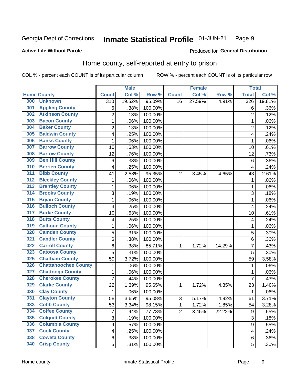#### Inmate Statistical Profile 01-JUN-21 Page 9

### **Active Life Without Parole**

### Produced for General Distribution

## Home county, self-reported at entry to prison

COL % - percent each COUNT is of its particular column

|     |                             |                  | <b>Male</b> |         |                | <b>Female</b> |        | <b>Total</b>   |        |
|-----|-----------------------------|------------------|-------------|---------|----------------|---------------|--------|----------------|--------|
|     | <b>Home County</b>          | <b>Count</b>     | Col %       | Row %   | <b>Count</b>   | Col %         | Row %  | <b>Total</b>   | Col %  |
| 000 | <b>Unknown</b>              | $\overline{310}$ | 19.52%      | 95.09%  | 16             | 27.59%        | 4.91%  | 326            | 19.81% |
| 001 | <b>Appling County</b>       | 6                | .38%        | 100.00% |                |               |        | 6              | .36%   |
| 002 | <b>Atkinson County</b>      | $\overline{2}$   | .13%        | 100.00% |                |               |        | $\overline{2}$ | .12%   |
| 003 | <b>Bacon County</b>         | $\mathbf 1$      | .06%        | 100.00% |                |               |        | 1              | .06%   |
| 004 | <b>Baker County</b>         | $\overline{2}$   | .13%        | 100.00% |                |               |        | $\overline{2}$ | .12%   |
| 005 | <b>Baldwin County</b>       | 4                | .25%        | 100.00% |                |               |        | 4              | .24%   |
| 006 | <b>Banks County</b>         | 1                | .06%        | 100.00% |                |               |        | 1              | .06%   |
| 007 | <b>Barrow County</b>        | 10               | .63%        | 100.00% |                |               |        | 10             | .61%   |
| 008 | <b>Bartow County</b>        | 12               | .76%        | 100.00% |                |               |        | 12             | .73%   |
| 009 | <b>Ben Hill County</b>      | 6                | .38%        | 100.00% |                |               |        | 6              | .36%   |
| 010 | <b>Berrien County</b>       | 4                | .25%        | 100.00% |                |               |        | 4              | .24%   |
| 011 | <b>Bibb County</b>          | 41               | 2.58%       | 95.35%  | $\overline{2}$ | 3.45%         | 4.65%  | 43             | 2.61%  |
| 012 | <b>Bleckley County</b>      | 1                | .06%        | 100.00% |                |               |        | 1              | .06%   |
| 013 | <b>Brantley County</b>      | $\mathbf 1$      | .06%        | 100.00% |                |               |        | 1              | .06%   |
| 014 | <b>Brooks County</b>        | 3                | .19%        | 100.00% |                |               |        | 3              | .18%   |
| 015 | <b>Bryan County</b>         | 1                | .06%        | 100.00% |                |               |        | 1              | .06%   |
| 016 | <b>Bulloch County</b>       | 4                | .25%        | 100.00% |                |               |        | 4              | .24%   |
| 017 | <b>Burke County</b>         | 10               | .63%        | 100.00% |                |               |        | 10             | .61%   |
| 018 | <b>Butts County</b>         | 4                | .25%        | 100.00% |                |               |        | 4              | .24%   |
| 019 | <b>Calhoun County</b>       | 1                | .06%        | 100.00% |                |               |        | 1              | .06%   |
| 020 | <b>Camden County</b>        | 5                | .31%        | 100.00% |                |               |        | 5              | .30%   |
| 021 | <b>Candler County</b>       | 6                | .38%        | 100.00% |                |               |        | 6              | .36%   |
| 022 | <b>Carroll County</b>       | $6\phantom{1}$   | .38%        | 85.71%  | 1              | 1.72%         | 14.29% | $\overline{7}$ | .43%   |
| 023 | <b>Catoosa County</b>       | 5                | .31%        | 100.00% |                |               |        | 5              | .30%   |
| 025 | <b>Chatham County</b>       | 59               | 3.72%       | 100.00% |                |               |        | 59             | 3.58%  |
| 026 | <b>Chattahoochee County</b> | 1                | .06%        | 100.00% |                |               |        | 1              | .06%   |
| 027 | <b>Chattooga County</b>     | $\mathbf 1$      | .06%        | 100.00% |                |               |        | 1              | .06%   |
| 028 | <b>Cherokee County</b>      | 7                | .44%        | 100.00% |                |               |        | $\overline{7}$ | .43%   |
| 029 | <b>Clarke County</b>        | 22               | 1.39%       | 95.65%  | 1              | 1.72%         | 4.35%  | 23             | 1.40%  |
| 030 | <b>Clay County</b>          | 1                | .06%        | 100.00% |                |               |        | 1              | .06%   |
| 031 | <b>Clayton County</b>       | 58               | 3.65%       | 95.08%  | 3              | 5.17%         | 4.92%  | 61             | 3.71%  |
| 033 | <b>Cobb County</b>          | 53               | 3.34%       | 98.15%  | 1              | 1.72%         | 1.85%  | 54             | 3.28%  |
| 034 | <b>Coffee County</b>        | $\overline{7}$   | .44%        | 77.78%  | $\overline{2}$ | 3.45%         | 22.22% | 9              | .55%   |
| 035 | <b>Colquitt County</b>      | 3                | .19%        | 100.00% |                |               |        | 3              | .18%   |
| 036 | <b>Columbia County</b>      | 9                | .57%        | 100.00% |                |               |        | 9              | .55%   |
| 037 | <b>Cook County</b>          | 4                | .25%        | 100.00% |                |               |        | 4              | .24%   |
| 038 | <b>Coweta County</b>        | 6                | .38%        | 100.00% |                |               |        | 6              | .36%   |
| 040 | <b>Crisp County</b>         | 5                | .31%        | 100.00% |                |               |        | 5              | .30%   |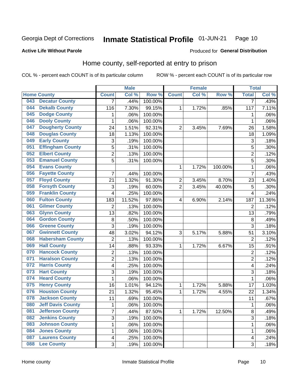#### **Inmate Statistical Profile 01-JUN-21** Page 10

**Active Life Without Parole** 

Produced for General Distribution

## Home county, self-reported at entry to prison

COL % - percent each COUNT is of its particular column

|     |                          |                           | <b>Male</b> |         |                  | <b>Female</b> |         | <b>Total</b>            |        |
|-----|--------------------------|---------------------------|-------------|---------|------------------|---------------|---------|-------------------------|--------|
|     | <b>Home County</b>       | <b>Count</b>              | Col %       | Row %   | <b>Count</b>     | Col %         | Row %   | <b>Total</b>            | Col %  |
| 043 | <b>Decatur County</b>    | $\overline{7}$            | .44%        | 100.00% |                  |               |         | $\overline{7}$          | .43%   |
| 044 | <b>Dekalb County</b>     | 116                       | 7.30%       | 99.15%  | 1                | 1.72%         | .85%    | 117                     | 7.11%  |
| 045 | <b>Dodge County</b>      | $\mathbf 1$               | .06%        | 100.00% |                  |               |         | 1                       | .06%   |
| 046 | <b>Dooly County</b>      | 1                         | .06%        | 100.00% |                  |               |         | 1                       | .06%   |
| 047 | <b>Dougherty County</b>  | 24                        | 1.51%       | 92.31%  | $\overline{2}$   | 3.45%         | 7.69%   | 26                      | 1.58%  |
| 048 | <b>Douglas County</b>    | 18                        | 1.13%       | 100.00% |                  |               |         | 18                      | 1.09%  |
| 049 | <b>Early County</b>      | $\ensuremath{\mathsf{3}}$ | .19%        | 100.00% |                  |               |         | 3                       | .18%   |
| 051 | <b>Effingham County</b>  | 5                         | .31%        | 100.00% |                  |               |         | 5                       | .30%   |
| 052 | <b>Elbert County</b>     | $\overline{2}$            | .13%        | 100.00% |                  |               |         | $\overline{2}$          | .12%   |
| 053 | <b>Emanuel County</b>    | 5                         | .31%        | 100.00% |                  |               |         | 5                       | .30%   |
| 054 | <b>Evans County</b>      |                           |             |         | 1                | 1.72%         | 100.00% | 1                       | .06%   |
| 056 | <b>Fayette County</b>    | 7                         | .44%        | 100.00% |                  |               |         | $\overline{7}$          | .43%   |
| 057 | <b>Floyd County</b>      | 21                        | 1.32%       | 91.30%  | $\boldsymbol{2}$ | 3.45%         | 8.70%   | 23                      | 1.40%  |
| 058 | <b>Forsyth County</b>    | $\ensuremath{\mathsf{3}}$ | .19%        | 60.00%  | $\overline{2}$   | 3.45%         | 40.00%  | 5                       | .30%   |
| 059 | <b>Franklin County</b>   | 4                         | .25%        | 100.00% |                  |               |         | $\overline{4}$          | .24%   |
| 060 | <b>Fulton County</b>     | 183                       | 11.52%      | 97.86%  | 4                | 6.90%         | 2.14%   | 187                     | 11.36% |
| 061 | <b>Gilmer County</b>     | 2                         | .13%        | 100.00% |                  |               |         | $\overline{2}$          | .12%   |
| 063 | <b>Glynn County</b>      | 13                        | .82%        | 100.00% |                  |               |         | 13                      | .79%   |
| 064 | <b>Gordon County</b>     | 8                         | .50%        | 100.00% |                  |               |         | 8                       | .49%   |
| 066 | <b>Greene County</b>     | 3                         | .19%        | 100.00% |                  |               |         | 3                       | .18%   |
| 067 | <b>Gwinnett County</b>   | 48                        | 3.02%       | 94.12%  | 3                | 5.17%         | 5.88%   | 51                      | 3.10%  |
| 068 | <b>Habersham County</b>  | $\overline{2}$            | .13%        | 100.00% |                  |               |         | $\overline{2}$          | .12%   |
| 069 | <b>Hall County</b>       | 14                        | .88%        | 93.33%  | 1                | 1.72%         | 6.67%   | 15                      | .91%   |
| 070 | <b>Hancock County</b>    | $\mathbf 2$               | .13%        | 100.00% |                  |               |         | $\overline{2}$          | .12%   |
| 071 | <b>Haralson County</b>   | $\overline{c}$            | .13%        | 100.00% |                  |               |         | $\overline{2}$          | .12%   |
| 072 | <b>Harris County</b>     | 4                         | .25%        | 100.00% |                  |               |         | 4                       | .24%   |
| 073 | <b>Hart County</b>       | $\mathfrak{B}$            | .19%        | 100.00% |                  |               |         | 3                       | .18%   |
| 074 | <b>Heard County</b>      | $\mathbf 1$               | .06%        | 100.00% |                  |               |         | 1                       | .06%   |
| 075 | <b>Henry County</b>      | 16                        | 1.01%       | 94.12%  | 1                | 1.72%         | 5.88%   | 17                      | 1.03%  |
| 076 | <b>Houston County</b>    | 21                        | 1.32%       | 95.45%  | 1                | 1.72%         | 4.55%   | 22                      | 1.34%  |
| 078 | <b>Jackson County</b>    | 11                        | .69%        | 100.00% |                  |               |         | 11                      | .67%   |
| 080 | <b>Jeff Davis County</b> | 1                         | .06%        | 100.00% |                  |               |         | 1                       | .06%   |
| 081 | <b>Jefferson County</b>  | $\overline{7}$            | .44%        | 87.50%  | 1                | 1.72%         | 12.50%  | 8                       | .49%   |
| 082 | <b>Jenkins County</b>    | 3                         | .19%        | 100.00% |                  |               |         | 3                       | .18%   |
| 083 | <b>Johnson County</b>    | $\mathbf 1$               | .06%        | 100.00% |                  |               |         | 1                       | .06%   |
| 084 | <b>Jones County</b>      | $\mathbf 1$               | .06%        | 100.00% |                  |               |         | 1                       | .06%   |
| 087 | <b>Laurens County</b>    | $\overline{\mathbf{4}}$   | .25%        | 100.00% |                  |               |         | $\overline{\mathbf{4}}$ | .24%   |
| 088 | <b>Lee County</b>        | 3                         | .19%        | 100.00% |                  |               |         | 3                       | .18%   |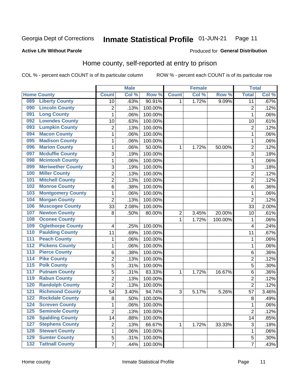#### Inmate Statistical Profile 01-JUN-21 Page 11

Produced for General Distribution

### **Active Life Without Parole**

## Home county, self-reported at entry to prison

COL % - percent each COUNT is of its particular column

|                  |                          |                | <b>Male</b> |         |                | <b>Female</b> |         | <b>Total</b>              |       |
|------------------|--------------------------|----------------|-------------|---------|----------------|---------------|---------|---------------------------|-------|
|                  | <b>Home County</b>       | <b>Count</b>   | Col %       | Row %   | <b>Count</b>   | Col %         | Row %   | <b>Total</b>              | Col % |
| 089              | <b>Liberty County</b>    | 10             | .63%        | 90.91%  | 1              | 1.72%         | 9.09%   | $\overline{11}$           | .67%  |
| 090              | <b>Lincoln County</b>    | $\overline{c}$ | .13%        | 100.00% |                |               |         | $\overline{c}$            | .12%  |
| 091              | <b>Long County</b>       | $\mathbf 1$    | .06%        | 100.00% |                |               |         | 1                         | .06%  |
| 092              | <b>Lowndes County</b>    | 10             | .63%        | 100.00% |                |               |         | 10                        | .61%  |
| 093              | <b>Lumpkin County</b>    | $\overline{2}$ | .13%        | 100.00% |                |               |         | $\overline{2}$            | .12%  |
| 094              | <b>Macon County</b>      | $\mathbf 1$    | .06%        | 100.00% |                |               |         | 1                         | .06%  |
| 095              | <b>Madison County</b>    | $\mathbf 1$    | .06%        | 100.00% |                |               |         | 1                         | .06%  |
| 096              | <b>Marion County</b>     | 1              | .06%        | 50.00%  | 1              | 1.72%         | 50.00%  | $\overline{c}$            | .12%  |
| 097              | <b>Mcduffie County</b>   | 3              | .19%        | 100.00% |                |               |         | 3                         | .18%  |
| 098              | <b>Mcintosh County</b>   | $\mathbf 1$    | .06%        | 100.00% |                |               |         | 1                         | .06%  |
| 099              | <b>Meriwether County</b> | 3              | .19%        | 100.00% |                |               |         | 3                         | .18%  |
| 100              | <b>Miller County</b>     | $\overline{2}$ | .13%        | 100.00% |                |               |         | $\overline{2}$            | .12%  |
| 101              | <b>Mitchell County</b>   | $\overline{c}$ | .13%        | 100.00% |                |               |         | $\overline{2}$            | .12%  |
| 102              | <b>Monroe County</b>     | 6              | .38%        | 100.00% |                |               |         | 6                         | .36%  |
| 103              | <b>Montgomery County</b> | $\mathbf 1$    | .06%        | 100.00% |                |               |         | 1                         | .06%  |
| 104              | <b>Morgan County</b>     | $\overline{2}$ | .13%        | 100.00% |                |               |         | $\overline{2}$            | .12%  |
| 106              | <b>Muscogee County</b>   | 33             | 2.08%       | 100.00% |                |               |         | 33                        | 2.00% |
| 107              | <b>Newton County</b>     | 8              | .50%        | 80.00%  | $\overline{c}$ | 3.45%         | 20.00%  | 10                        | .61%  |
| 108              | <b>Oconee County</b>     |                |             |         | $\mathbf 1$    | 1.72%         | 100.00% | 1                         | .06%  |
| 109              | <b>Oglethorpe County</b> | 4              | .25%        | 100.00% |                |               |         | 4                         | .24%  |
| 110              | <b>Paulding County</b>   | 11             | .69%        | 100.00% |                |               |         | 11                        | .67%  |
| 111              | <b>Peach County</b>      | $\mathbf 1$    | .06%        | 100.00% |                |               |         | 1                         | .06%  |
| 112              | <b>Pickens County</b>    | 1              | .06%        | 100.00% |                |               |         | 1                         | .06%  |
| 113              | <b>Pierce County</b>     | 6              | .38%        | 100.00% |                |               |         | 6                         | .36%  |
| 114              | <b>Pike County</b>       | $\overline{c}$ | .13%        | 100.00% |                |               |         | $\overline{c}$            | .12%  |
| $\overline{115}$ | <b>Polk County</b>       | 5              | .31%        | 100.00% |                |               |         | 5                         | .30%  |
| 117              | <b>Putnam County</b>     | 5              | .31%        | 83.33%  | 1              | 1.72%         | 16.67%  | 6                         | .36%  |
| 119              | <b>Rabun County</b>      | $\overline{2}$ | .13%        | 100.00% |                |               |         | $\overline{2}$            | .12%  |
| 120              | <b>Randolph County</b>   | $\overline{2}$ | .13%        | 100.00% |                |               |         | $\overline{2}$            | .12%  |
| 121              | <b>Richmond County</b>   | 54             | 3.40%       | 94.74%  | 3              | 5.17%         | 5.26%   | 57                        | 3.46% |
| 122              | <b>Rockdale County</b>   | 8              | .50%        | 100.00% |                |               |         | 8                         | .49%  |
| 124              | <b>Screven County</b>    | 1              | .06%        | 100.00% |                |               |         | 1                         | .06%  |
| 125              | <b>Seminole County</b>   | $\overline{2}$ | .13%        | 100.00% |                |               |         | $\overline{2}$            | .12%  |
| 126              | <b>Spalding County</b>   | 14             | .88%        | 100.00% |                |               |         | 14                        | .85%  |
| 127              | <b>Stephens County</b>   | 2              | .13%        | 66.67%  | 1              | 1.72%         | 33.33%  | $\ensuremath{\mathsf{3}}$ | .18%  |
| 128              | <b>Stewart County</b>    | $\mathbf 1$    | .06%        | 100.00% |                |               |         | 1                         | .06%  |
| 129              | <b>Sumter County</b>     | 5              | .31%        | 100.00% |                |               |         | 5                         | .30%  |
| 132              | <b>Tattnall County</b>   | $\overline{7}$ | .44%        | 100.00% |                |               |         | $\overline{7}$            | .43%  |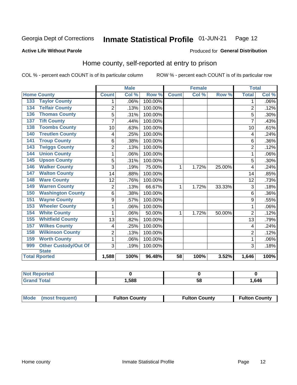#### Inmate Statistical Profile 01-JUN-21 Page 12

Produced for General Distribution

### **Active Life Without Parole**

## Home county, self-reported at entry to prison

COL % - percent each COUNT is of its particular column

|                                    |                | <b>Male</b> |         | <b>Female</b> |       |        | <b>Total</b>   |       |
|------------------------------------|----------------|-------------|---------|---------------|-------|--------|----------------|-------|
| <b>Home County</b>                 | <b>Count</b>   | Col %       | Row %   | <b>Count</b>  | Col % | Row %  | <b>Total</b>   | Col % |
| <b>Taylor County</b><br>133        | 1              | .06%        | 100.00% |               |       |        | 1              | .06%  |
| <b>Telfair County</b><br>134       | $\overline{2}$ | .13%        | 100.00% |               |       |        | $\overline{2}$ | .12%  |
| <b>Thomas County</b><br>136        | 5              | .31%        | 100.00% |               |       |        | 5              | .30%  |
| <b>Tift County</b><br>137          | 7              | .44%        | 100.00% |               |       |        | 7              | .43%  |
| <b>Toombs County</b><br>138        | 10             | .63%        | 100.00% |               |       |        | 10             | .61%  |
| <b>Treutlen County</b><br>140      | 4              | .25%        | 100.00% |               |       |        | 4              | .24%  |
| <b>Troup County</b><br>141         | 6              | .38%        | 100.00% |               |       |        | 6              | .36%  |
| <b>Twiggs County</b><br>143        | $\overline{2}$ | .13%        | 100.00% |               |       |        | $\overline{2}$ | .12%  |
| <b>Union County</b><br>144         | 1              | .06%        | 100.00% |               |       |        |                | .06%  |
| <b>Upson County</b><br>145         | 5              | .31%        | 100.00% |               |       |        | 5              | .30%  |
| <b>Walker County</b><br>146        | 3              | .19%        | 75.00%  | 1             | 1.72% | 25.00% | $\overline{4}$ | .24%  |
| <b>Walton County</b><br>147        | 14             | .88%        | 100.00% |               |       |        | 14             | .85%  |
| <b>Ware County</b><br>148          | 12             | .76%        | 100.00% |               |       |        | 12             | .73%  |
| <b>Warren County</b><br>149        | $\overline{2}$ | .13%        | 66.67%  | 1             | 1.72% | 33.33% | 3              | .18%  |
| <b>Washington County</b><br>150    | 6              | .38%        | 100.00% |               |       |        | 6              | .36%  |
| <b>Wayne County</b><br>151         | 9              | .57%        | 100.00% |               |       |        | 9              | .55%  |
| <b>Wheeler County</b><br>153       | 1              | .06%        | 100.00% |               |       |        | 1              | .06%  |
| <b>White County</b><br>154         | 1              | .06%        | 50.00%  | 1             | 1.72% | 50.00% | $\overline{2}$ | .12%  |
| <b>Whitfield County</b><br>155     | 13             | .82%        | 100.00% |               |       |        | 13             | .79%  |
| <b>Wilkes County</b><br>157        | 4              | .25%        | 100.00% |               |       |        | 4              | .24%  |
| <b>Wilkinson County</b><br>158     | $\overline{2}$ | .13%        | 100.00% |               |       |        | $\overline{2}$ | .12%  |
| <b>Worth County</b><br>159         | 1              | .06%        | 100.00% |               |       |        | 1              | .06%  |
| <b>Other Custody/Out Of</b><br>999 | 3              | .19%        | 100.00% |               |       |        | 3              | .18%  |
| <b>State</b>                       |                |             |         |               |       |        |                |       |
| <b>Total Rported</b>               | 1,588          | 100%        | 96.48%  | 58            | 100%  | 3.52%  | 1,646          | 100%  |

| <b>Not Reported</b>     |      |    |      |
|-------------------------|------|----|------|
| <b>Total</b><br>l Grand | ,588 | ວດ | .646 |

| Mode (most frequent)<br><b>Fulton County</b> | <b>Fulton County</b> | <b>Fulton County</b> |
|----------------------------------------------|----------------------|----------------------|
|----------------------------------------------|----------------------|----------------------|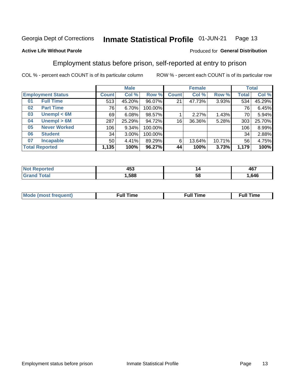#### Inmate Statistical Profile 01-JUN-21 Page 13

### **Active Life Without Parole**

## Produced for General Distribution

## Employment status before prison, self-reported at entry to prison

COL % - percent each COUNT is of its particular column

|                           | <b>Male</b>  |        |         | <b>Female</b>   |        |        | <b>Total</b> |        |
|---------------------------|--------------|--------|---------|-----------------|--------|--------|--------------|--------|
| <b>Employment Status</b>  | <b>Count</b> | Col %  | Row %   | <b>Count</b>    | Col %  | Row %  | Total        | Col %  |
| <b>Full Time</b><br>01    | 513          | 45.20% | 96.07%  | 21              | 47.73% | 3.93%  | 534          | 45.29% |
| <b>Part Time</b><br>02    | 76           | 6.70%  | 100.00% |                 |        |        | 76           | 6.45%  |
| Unempl $<$ 6M<br>03       | 69           | 6.08%  | 98.57%  |                 | 2.27%  | 1.43%  | 70           | 5.94%  |
| Unempl > 6M<br>04         | 287          | 25.29% | 94.72%  | 16 <sub>1</sub> | 36.36% | 5.28%  | 303          | 25.70% |
| <b>Never Worked</b><br>05 | 106          | 9.34%  | 100.00% |                 |        |        | 106          | 8.99%  |
| <b>Student</b><br>06      | 34           | 3.00%  | 100.00% |                 |        |        | 34           | 2.88%  |
| <b>Incapable</b><br>07    | 50           | 4.41%  | 89.29%  | 6               | 13.64% | 10.71% | 56           | 4.75%  |
| <b>Total Reported</b>     | 1,135        | 100%   | 96.27%  | 44              | 100%   | 3.73%  | 1,179        | 100%   |

| .<br>−∪<br>__ | I 2 | <b>467</b><br>ישר |
|---------------|-----|-------------------|
| .588          | ວເ  | .646              |

| Mc | ∙u∥<br>----<br>ıme | ίuΙ<br>Πmε |
|----|--------------------|------------|
|    |                    |            |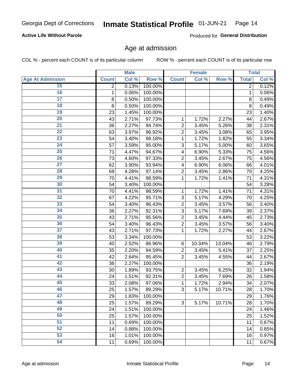## **Active Life Without Parole**

Produced for General Distribution

## Age at admission

COL % - percent each COUNT is of its particular column

|                         |              | <b>Male</b> |         |                | <b>Female</b> |        |              | <b>Total</b> |
|-------------------------|--------------|-------------|---------|----------------|---------------|--------|--------------|--------------|
| <b>Age At Admission</b> | <b>Count</b> | Col %       | Row %   | <b>Count</b>   | Col %         | Row %  | <b>Total</b> | Col %        |
| 15                      | 2            | 0.13%       | 100.00% |                |               |        | 2            | 0.12%        |
| 16                      | 1            | 0.06%       | 100.00% |                |               |        | 1            | 0.06%        |
| $\overline{17}$         | 8            | 0.50%       | 100.00% |                |               |        | 8            | 0.49%        |
| 18                      | 8            | 0.50%       | 100.00% |                |               |        | 8            | 0.49%        |
| 19                      | 23           | 1.45%       | 100.00% |                |               |        | 23           | 1.40%        |
| $\overline{20}$         | 43           | 2.71%       | 97.73%  | 1              | 1.72%         | 2.27%  | 44           | 2.67%        |
| 21                      | 36           | 2.27%       | 94.74%  | $\overline{2}$ | 3.45%         | 5.26%  | 38           | 2.31%        |
| 22                      | 63           | 3.97%       | 96.92%  | $\overline{2}$ | 3.45%         | 3.08%  | 65           | 3.95%        |
| 23                      | 54           | 3.40%       | 98.18%  | 1              | 1.72%         | 1.82%  | 55           | 3.34%        |
| 24                      | 57           | 3.59%       | 95.00%  | 3              | 5.17%         | 5.00%  | 60           | 3.65%        |
| $\overline{25}$         | 71           | 4.47%       | 94.67%  | 4              | 6.90%         | 5.33%  | 75           | 4.56%        |
| 26                      | 73           | 4.60%       | 97.33%  | $\overline{2}$ | 3.45%         | 2.67%  | 75           | 4.56%        |
| $\overline{27}$         | 62           | 3.90%       | 93.94%  | 4              | 6.90%         | 6.06%  | 66           | 4.01%        |
| 28                      | 68           | 4.28%       | 97.14%  | $\overline{2}$ | 3.45%         | 2.86%  | 70           | 4.25%        |
| 29                      | 70           | 4.41%       | 98.59%  | 1              | 1.72%         | 1.41%  | 71           | 4.31%        |
| 30                      | 54           | 3.40%       | 100.00% |                |               |        | 54           | 3.28%        |
| 31                      | 70           | 4.41%       | 98.59%  | 1              | 1.72%         | 1.41%  | 71           | 4.31%        |
| 32                      | 67           | 4.22%       | 95.71%  | 3              | 5.17%         | 4.29%  | 70           | 4.25%        |
| 33                      | 54           | 3.40%       | 96.43%  | $\overline{2}$ | 3.45%         | 3.57%  | 56           | 3.40%        |
| 34                      | 36           | 2.27%       | 92.31%  | 3              | 5.17%         | 7.69%  | 39           | 2.37%        |
| 35                      | 43           | 2.71%       | 95.56%  | $\overline{2}$ | 3.45%         | 4.44%  | 45           | 2.73%        |
| 36                      | 54           | 3.40%       | 96.43%  | $\overline{2}$ | 3.45%         | 3.57%  | 56           | 3.40%        |
| $\overline{37}$         | 43           | 2.71%       | 97.73%  | 1              | 1.72%         | 2.27%  | 44           | 2.67%        |
| 38                      | 53           | 3.34%       | 100.00% |                |               |        | 53           | 3.22%        |
| 39                      | 40           | 2.52%       | 86.96%  | 6              | 10.34%        | 13.04% | 46           | 2.79%        |
| 40                      | 35           | 2.20%       | 94.59%  | $\overline{2}$ | 3.45%         | 5.41%  | 37           | 2.25%        |
| 41                      | 42           | 2.64%       | 95.45%  | $\overline{2}$ | 3.45%         | 4.55%  | 44           | 2.67%        |
| 42                      | 36           | 2.27%       | 100.00% |                |               |        | 36           | 2.19%        |
| 43                      | 30           | 1.89%       | 93.75%  | $\overline{2}$ | 3.45%         | 6.25%  | 32           | 1.94%        |
| 44                      | 24           | 1.51%       | 92.31%  | $\overline{2}$ | 3.45%         | 7.69%  | 26           | 1.58%        |
| 45                      | 33           | 2.08%       | 97.06%  | 1              | 1.72%         | 2.94%  | 34           | 2.07%        |
| 46                      | 25           | 1.57%       | 89.29%  | 3              | 5.17%         | 10.71% | 28           | 1.70%        |
| 47                      | 29           | 1.83%       | 100.00% |                |               |        | 29           | 1.76%        |
| 48                      | 25           | 1.57%       | 89.29%  | 3              | 5.17%         | 10.71% | 28           | 1.70%        |
| 49                      | 24           | 1.51%       | 100.00% |                |               |        | 24           | 1.46%        |
| 50                      | 25           | 1.57%       | 100.00% |                |               |        | 25           | 1.52%        |
| $\overline{51}$         | 11           | 0.69%       | 100.00% |                |               |        | 11           | 0.67%        |
| 52                      | 14           | 0.88%       | 100.00% |                |               |        | 14           | 0.85%        |
| 53                      | 16           | 1.01%       | 100.00% |                |               |        | 16           | 0.97%        |
| 54                      | 11           | 0.69%       | 100.00% |                |               |        | 11           | 0.67%        |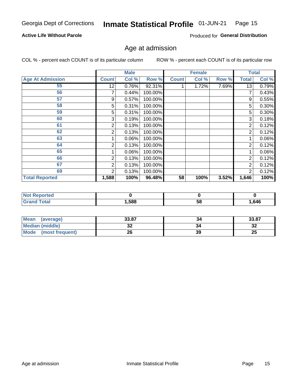#### Inmate Statistical Profile 01-JUN-21 Page 15

## **Active Life Without Parole**

Produced for General Distribution

## Age at admission

COL % - percent each COUNT is of its particular column

|                         |       | <b>Male</b> |         |              | <b>Female</b> |       |                | <b>Total</b> |
|-------------------------|-------|-------------|---------|--------------|---------------|-------|----------------|--------------|
| <b>Age At Admission</b> | Count | Col %       | Row %   | <b>Count</b> | Col %         | Row % | <b>Total</b>   | Col %        |
| 55                      | 12    | 0.76%       | 92.31%  |              | 1.72%         | 7.69% | 13             | 0.79%        |
| 56                      |       | 0.44%       | 100.00% |              |               |       |                | 0.43%        |
| 57                      | 9     | 0.57%       | 100.00% |              |               |       | 9              | 0.55%        |
| 58                      | 5     | 0.31%       | 100.00% |              |               |       | 5              | 0.30%        |
| 59                      | 5     | 0.31%       | 100.00% |              |               |       | 5              | 0.30%        |
| 60                      | 3     | 0.19%       | 100.00% |              |               |       | 3              | 0.18%        |
| 61                      | 2     | 0.13%       | 100.00% |              |               |       | 2              | 0.12%        |
| 62                      | 2     | 0.13%       | 100.00% |              |               |       | 2              | 0.12%        |
| 63                      |       | 0.06%       | 100.00% |              |               |       |                | 0.06%        |
| 64                      | 2     | 0.13%       | 100.00% |              |               |       | $\overline{2}$ | 0.12%        |
| 65                      |       | 0.06%       | 100.00% |              |               |       |                | $0.06\%$     |
| 66                      | 2     | 0.13%       | 100.00% |              |               |       | 2              | 0.12%        |
| 67                      | 2     | 0.13%       | 100.00% |              |               |       | 2              | 0.12%        |
| 69                      | 2     | 0.13%       | 100.00% |              |               |       | $\overline{2}$ | 0.12%        |
| <b>Total Reported</b>   | 1,588 | 100%        | 96.48%  | 58           | 100%          | 3.52% | 1,646          | 100%         |

| <b>Not Repo</b><br>sported |        |    |       |
|----------------------------|--------|----|-------|
| <b>Total</b><br>Cror       | 588, ا | Эč | 1,646 |

| <b>Mean</b><br>(average) | 33.87 | 34 | 33.87   |
|--------------------------|-------|----|---------|
| Median (middle)          | JZ    | 34 | ົ<br>∠د |
| Mode<br>(most frequent)  | ጎድ    | 39 | 25      |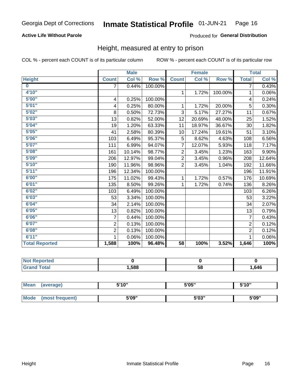## **Active Life Without Parole**

### Produced for General Distribution

## Height, measured at entry to prison

COL % - percent each COUNT is of its particular column

|                         |                | <b>Male</b> |         |                | <b>Female</b> |         |                | <b>Total</b> |
|-------------------------|----------------|-------------|---------|----------------|---------------|---------|----------------|--------------|
| <b>Height</b>           | <b>Count</b>   | Col %       | Row %   | <b>Count</b>   | Col %         | Row %   | <b>Total</b>   | Col %        |
| $\overline{\mathbf{0}}$ | 7              | 0.44%       | 100.00% |                |               |         | 7              | 0.43%        |
| 4'10"                   |                |             |         | $\mathbf{1}$   | 1.72%         | 100.00% | 1              | 0.06%        |
| 5'00''                  | 4              | 0.25%       | 100.00% |                |               |         | 4              | 0.24%        |
| 5'01"                   | 4              | 0.25%       | 80.00%  | 1              | 1.72%         | 20.00%  | 5              | 0.30%        |
| 5'02"                   | 8              | 0.50%       | 72.73%  | 3              | 5.17%         | 27.27%  | 11             | 0.67%        |
| 5'03''                  | 13             | 0.82%       | 52.00%  | 12             | 20.69%        | 48.00%  | 25             | 1.52%        |
| 5'04"                   | 19             | 1.20%       | 63.33%  | 11             | 18.97%        | 36.67%  | 30             | 1.82%        |
| 5'05"                   | 41             | 2.58%       | 80.39%  | 10             | 17.24%        | 19.61%  | 51             | 3.10%        |
| 5'06''                  | 103            | 6.49%       | 95.37%  | 5              | 8.62%         | 4.63%   | 108            | 6.56%        |
| 5'07''                  | 111            | 6.99%       | 94.07%  | $\overline{7}$ | 12.07%        | 5.93%   | 118            | 7.17%        |
| 5'08''                  | 161            | 10.14%      | 98.77%  | $\overline{2}$ | 3.45%         | 1.23%   | 163            | 9.90%        |
| 5'09''                  | 206            | 12.97%      | 99.04%  | $\overline{2}$ | 3.45%         | 0.96%   | 208            | 12.64%       |
| 5'10''                  | 190            | 11.96%      | 98.96%  | $\overline{2}$ | 3.45%         | 1.04%   | 192            | 11.66%       |
| 5'11"                   | 196            | 12.34%      | 100.00% |                |               |         | 196            | 11.91%       |
| 6'00''                  | 175            | 11.02%      | 99.43%  | $\mathbf{1}$   | 1.72%         | 0.57%   | 176            | 10.69%       |
| 6'01''                  | 135            | 8.50%       | 99.26%  | $\mathbf{1}$   | 1.72%         | 0.74%   | 136            | 8.26%        |
| 6'02"                   | 103            | 6.49%       | 100.00% |                |               |         | 103            | 6.26%        |
| 6'03''                  | 53             | 3.34%       | 100.00% |                |               |         | 53             | 3.22%        |
| 6'04"                   | 34             | 2.14%       | 100.00% |                |               |         | 34             | 2.07%        |
| 6'05"                   | 13             | 0.82%       | 100.00% |                |               |         | 13             | 0.79%        |
| 6'06''                  | 7              | 0.44%       | 100.00% |                |               |         | 7              | 0.43%        |
| 6'07''                  | $\overline{2}$ | 0.13%       | 100.00% |                |               |         | $\overline{2}$ | 0.12%        |
| 6'08''                  | $\overline{2}$ | 0.13%       | 100.00% |                |               |         | $\overline{2}$ | 0.12%        |
| 6'11''                  | 1              | 0.06%       | 100.00% |                |               |         | 1              | $0.06\%$     |
| <b>Total Reported</b>   | 1,588          | 100%        | 96.48%  | 58             | 100%          | 3.52%   | 1,646          | 100%         |

| <b>orteo</b><br><b>NOT</b> |      |    |      |
|----------------------------|------|----|------|
| <b>Total</b>               | ,588 | 58 | .646 |

| <b>Mean</b> | (average)       | 5'10" | 5'05"                | 5'10"<br>ັ |
|-------------|-----------------|-------|----------------------|------------|
|             |                 |       |                      |            |
| <b>Mode</b> | (most frequent) | 5'09" | <b>E'OO"</b><br>ว บง | 5'09"      |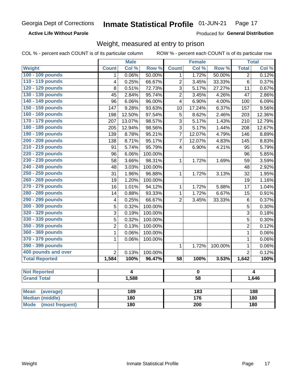**Active Life Without Parole** 

Produced for General Distribution

## Weight, measured at entry to prison

COL % - percent each COUNT is of its particular column

|                                           |                         | <b>Male</b>    |                  |                         | <b>Female</b>                              |         |                         | <b>Total</b> |
|-------------------------------------------|-------------------------|----------------|------------------|-------------------------|--------------------------------------------|---------|-------------------------|--------------|
| <b>Weight</b>                             | <b>Count</b>            | Col %          | Row <sup>%</sup> | <b>Count</b>            | Col %                                      | Row %   | <b>Total</b>            | Col %        |
| 100 - 109 pounds                          | 1                       | 0.06%          | 50.00%           | 1                       | 1.72%                                      | 50.00%  | $\overline{2}$          | 0.12%        |
| 110 - 119 pounds                          | 4                       | 0.25%          | 66.67%           | $\overline{2}$          | 3.45%                                      | 33.33%  | 6                       | 0.37%        |
| 120 - 129 pounds                          | 8                       | 0.51%          | 72.73%           | 3                       | 5.17%                                      | 27.27%  | 11                      | 0.67%        |
| 130 - 139 pounds                          | 45                      | 2.84%          | 95.74%           | $\overline{2}$          | 3.45%                                      | 4.26%   | 47                      | 2.86%        |
| 140 - 149 pounds                          | 96                      | 6.06%          | 96.00%           | $\overline{\mathbf{4}}$ | 6.90%                                      | 4.00%   | 100                     | 6.09%        |
| 150 - 159 pounds                          | 147                     | 9.28%          | 93.63%           | 10                      | 17.24%                                     | 6.37%   | 157                     | 9.56%        |
| 160 - 169 pounds                          | 198                     | 12.50%         | 97.54%           | 5                       | 8.62%                                      | 2.46%   | 203                     | 12.36%       |
| 170 - 179 pounds                          | 207                     | 13.07%         | 98.57%           | 3                       | 5.17%                                      | 1.43%   | 210                     | 12.79%       |
| 180 - 189 pounds                          | 205                     | 12.94%         | 98.56%           | 3                       | 5.17%                                      | 1.44%   | 208                     | 12.67%       |
| 190 - 199 pounds                          | 139                     | 8.78%          | 95.21%           | $\overline{7}$          | 12.07%                                     | 4.79%   | 146                     | 8.89%        |
| 200 - 209 pounds                          | 138                     | 8.71%          | 95.17%           | $\overline{7}$          | 12.07%                                     | 4.83%   | 145                     | 8.83%        |
| 210 - 219 pounds                          | 91                      | 5.74%          | 95.79%           | $\overline{\mathbf{4}}$ | 6.90%                                      | 4.21%   | 95                      | 5.79%        |
| 220 - 229 pounds                          | 96                      | 6.06%          | 100.00%          |                         |                                            |         | 96                      | 5.85%        |
| 230 - 239 pounds                          | 58                      | 3.66%          | 98.31%           | $\mathbf{1}$            | 1.72%                                      | 1.69%   | 59                      | 3.59%        |
| 240 - 249 pounds                          | 48                      | 3.03%          | 100.00%          |                         |                                            |         | 48                      | 2.92%        |
| 250 - 259 pounds                          | 31                      | 1.96%          | 96.88%           | $\mathbf{1}$            | 1.72%                                      | 3.13%   | 32                      | 1.95%        |
| 260 - 269 pounds                          | 19                      | 1.20%          | 100.00%          |                         |                                            |         | 19                      | 1.16%        |
| 270 - 279 pounds                          | 16                      | 1.01%          | 94.12%           | 1                       | 1.72%                                      | 5.88%   | 17                      | 1.04%        |
| 280 - 289 pounds                          | 14                      | 0.88%          | 93.33%           | $\mathbf 1$             | 1.72%                                      | 6.67%   | 15                      | 0.91%        |
| 290 - 299 pounds                          | $\overline{\mathbf{4}}$ | 0.25%          | 66.67%           | $\overline{2}$          | 3.45%                                      | 33.33%  | 6                       | 0.37%        |
| 300 - 309 pounds                          | $\overline{5}$          | 0.32%          | 100.00%          |                         |                                            |         | 5                       | 0.30%        |
| 320 - 329 pounds                          | 3                       | 0.19%          | 100.00%          |                         |                                            |         | 3                       | 0.18%        |
| 330 - 339 pounds                          | 5                       | 0.32%          | 100.00%          |                         |                                            |         | 5                       | 0.30%        |
| 350 - 359 pounds                          | $\overline{2}$          | 0.13%          | 100.00%          |                         |                                            |         | $\overline{2}$          | 0.12%        |
| 360 - 369 pounds                          | 1                       | 0.06%          | 100.00%          |                         |                                            |         | $\mathbf 1$             | 0.06%        |
| 370 - 379 pounds                          | 1                       | 0.06%          | 100.00%          |                         |                                            |         | $\mathbf 1$             | 0.06%        |
| 390 - 399 pounds                          |                         |                |                  | 1                       | 1.72%                                      | 100.00% | $\mathbf{1}$            | 0.06%        |
| 400 pounds and over                       | $\overline{2}$          | 0.13%          | 100.00%          |                         |                                            |         | $\overline{2}$          | 0.12%        |
| <b>Total Reported</b>                     | 1,584                   | 100%           | 96.47%           | $\overline{58}$         | 100%                                       | 3.53%   | 1,642                   | 100%         |
|                                           |                         |                |                  |                         |                                            |         |                         |              |
| <b>Not Reported</b><br><b>Grand Total</b> |                         | $\overline{4}$ |                  |                         | $\overline{\mathbf{0}}$<br>$\overline{58}$ |         | $\overline{4}$<br>1,646 |              |
|                                           |                         | 1,588          |                  |                         |                                            |         |                         |              |
| <b>Mean</b><br>(average)                  |                         | 189            |                  |                         | 183                                        |         |                         | 188          |

| Mean (average)       | 189 | 183 | 188 |
|----------------------|-----|-----|-----|
| Median (middle)      | 180 | 176 | 180 |
| Mode (most frequent) | 180 | 200 | 180 |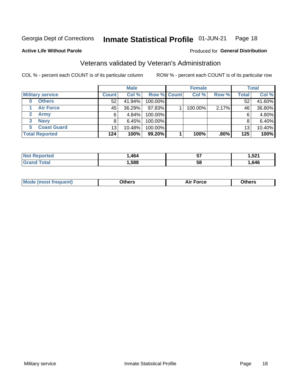#### Inmate Statistical Profile 01-JUN-21 Page 18

### **Active Life Without Parole**

### Produced for General Distribution

## Veterans validated by Veteran's Administration

COL % - percent each COUNT is of its particular column

|                          | <b>Male</b>     |        |             | <b>Female</b> |         |         | <b>Total</b> |        |
|--------------------------|-----------------|--------|-------------|---------------|---------|---------|--------------|--------|
| <b>Military service</b>  | <b>Count</b>    | Col %  | Row % Count |               | Col %   | Row %   | <b>Total</b> | Col %  |
| <b>Others</b><br>0       | 52              | 41.94% | 100.00%     |               |         |         | 52           | 41.60% |
| <b>Air Force</b>         | 45              | 36.29% | 97.83%      |               | 100.00% | 2.17%   | 46           | 36.80% |
| Army                     | 6               | 4.84%  | 100.00%     |               |         |         | 6            | 4.80%  |
| <b>Navy</b><br>3         |                 | 6.45%  | 100.00%     |               |         |         | 8            | 6.40%  |
| <b>Coast Guard</b><br>5. | 13 <sub>1</sub> | 10.48% | 100.00%     |               |         |         | 13           | 10.40% |
| <b>Total Reported</b>    | 124             | 100%   | 99.20%      |               | 100%    | $.80\%$ | 125          | 100%   |

| тес          | 464. | --<br>IJ | E <sub>04</sub><br>.JL 1<br>__ |
|--------------|------|----------|--------------------------------|
| <b>Total</b> | .588 | 5٤       | ,646                           |

| ____<br>____ |
|--------------|
|--------------|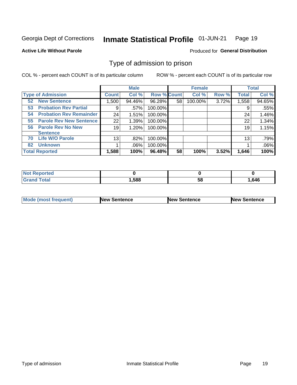#### Inmate Statistical Profile 01-JUN-21 Page 19

**Active Life Without Parole** 

Produced for General Distribution

## Type of admission to prison

COL % - percent each COUNT is of its particular column

|                                      |                 | <b>Male</b> |                    |    | <b>Female</b> |       |              | <b>Total</b> |
|--------------------------------------|-----------------|-------------|--------------------|----|---------------|-------|--------------|--------------|
| <b>Type of Admission</b>             | <b>Count</b>    | Col %       | <b>Row % Count</b> |    | Col %         | Row % | <b>Total</b> | Col %        |
| <b>New Sentence</b><br>52            | 1,500           | 94.46%      | 96.28%             | 58 | 100.00%       | 3.72% | 1,558        | 94.65%       |
| <b>Probation Rev Partial</b><br>53   | 9               | .57%        | 100.00%            |    |               |       | 9            | .55%         |
| <b>Probation Rev Remainder</b><br>54 | 24              | 1.51%       | 100.00%            |    |               |       | 24           | 1.46%        |
| <b>Parole Rev New Sentence</b><br>55 | 22              | 1.39%       | 100.00%            |    |               |       | 22           | 1.34%        |
| <b>Parole Rev No New</b><br>56       | 19              | 1.20%       | 100.00%            |    |               |       | 19           | 1.15%        |
| <b>Sentence</b>                      |                 |             |                    |    |               |       |              |              |
| <b>Life W/O Parole</b><br>70         | 13 <sub>1</sub> | .82%        | 100.00%            |    |               |       | 13           | .79%         |
| <b>Unknown</b><br>82                 |                 | $.06\%$     | 100.00%            |    |               |       |              | .06%         |
| <b>Total Reported</b>                | 1,588           | 100%        | 96.48%             | 58 | 100%          | 3.52% | 1,646        | 100%         |

| <b>Not Reported</b> |      |           |      |
|---------------------|------|-----------|------|
| <b>Total</b>        | ,588 | - -<br>ວດ | .646 |

| Mode (most frequent) | <b>New Sentence</b> | <b>New Sentence</b> | <b>New Sentence</b> |
|----------------------|---------------------|---------------------|---------------------|
|                      |                     |                     |                     |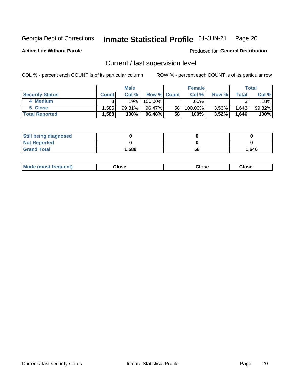#### Inmate Statistical Profile 01-JUN-21 Page 20

**Active Life Without Parole** 

## Produced for General Distribution

## Current / last supervision level

COL % - percent each COUNT is of its particular column

|                        |              | <b>Male</b> |                    |    | <b>Female</b> |          |                          | <b>Total</b> |
|------------------------|--------------|-------------|--------------------|----|---------------|----------|--------------------------|--------------|
| <b>Security Status</b> | <b>Count</b> | Col%        | <b>Row % Count</b> |    | Col %         | Row %    | $\mathsf{Total}_{\perp}$ | Col %        |
| 4 Medium               | ົ            | 19%         | 100.00%            |    | .00%          |          | ົ                        | $.18\%$      |
| 5 Close                | .585         | 99.81%      | 96.47%             | 58 | 100.00%       | $3.53\%$ | 1,643                    | $99.82\%$    |
| <b>Total Reported</b>  | $.588+$      | 100%        | 96.48%             | 58 | 100%          | 3.52%    | 1,646                    | 100%         |

| <b>Still being diagnosed</b> |       |    |       |
|------------------------------|-------|----|-------|
| <b>Not Reported</b>          |       |    |       |
| <b>Grand Total</b>           | 1,588 | 58 | 1,646 |

| <b>AhoM</b><br>rreauent) | <b>Close</b> | Close | Close |
|--------------------------|--------------|-------|-------|
|                          |              |       |       |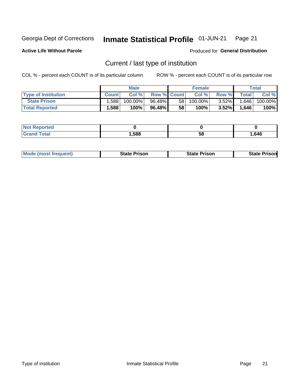#### Inmate Statistical Profile 01-JUN-21 Page 21

**Active Life Without Parole** 

Produced for General Distribution

## Current / last type of institution

COL % - percent each COUNT is of its particular column

|                            |              | <b>Male</b> |                    |    | <b>Female</b> |          |         | Total   |
|----------------------------|--------------|-------------|--------------------|----|---------------|----------|---------|---------|
| <b>Type of Institution</b> | <b>Count</b> | Col %       | <b>Row % Count</b> |    | Col %         | Row %    | Total I | Col %   |
| <b>State Prison</b>        | .588         | 100.00%     | 96.48%             | 58 | 100.00%       | $3.52\%$ | 1,646   | 100.00% |
| <b>Total Reported</b>      | 1,588        | 100%        | 96.48%             | 58 | 100%          | $3.52\%$ | 1,646   | 100%    |

| <b>eported</b> |      |    |      |
|----------------|------|----|------|
|                | ,588 | ວເ | .646 |

|  | <b>Mode (most frequent)</b> | State Prison | <b>State Prison</b> | <b>State Prison</b> |
|--|-----------------------------|--------------|---------------------|---------------------|
|--|-----------------------------|--------------|---------------------|---------------------|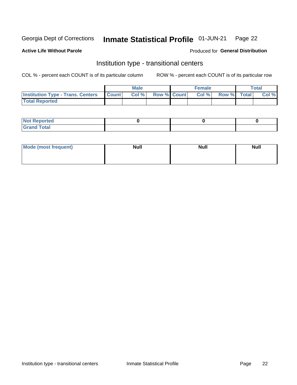#### Inmate Statistical Profile 01-JUN-21 Page 22

### **Active Life Without Parole**

### Produced for General Distribution

## Institution type - transitional centers

COL % - percent each COUNT is of its particular column

|                                                | Male  |                    | <b>Female</b> |                   | Total |
|------------------------------------------------|-------|--------------------|---------------|-------------------|-------|
| <b>Institution Type - Trans. Centers Count</b> | Col % | <b>Row % Count</b> |               | Col % Row % Total | Col % |
| <b>Total Reported</b>                          |       |                    |               |                   |       |

| <b>Reported</b><br><b>NOT</b><br>$\sim$            |  |  |
|----------------------------------------------------|--|--|
| $f$ $f \circ f \circ f$<br>$C = 1$<br><b>TULAI</b> |  |  |

| Mode (most frequent) | <b>Null</b> | <b>Null</b> | <b>Null</b> |
|----------------------|-------------|-------------|-------------|
|                      |             |             |             |
|                      |             |             |             |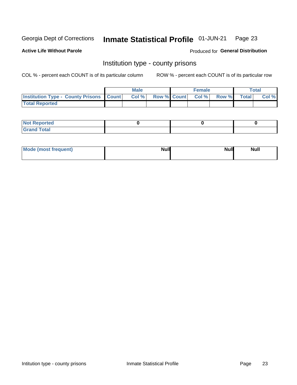#### Inmate Statistical Profile 01-JUN-21 Page 23

**Active Life Without Parole** 

Produced for General Distribution

## Institution type - county prisons

COL % - percent each COUNT is of its particular column

|                                                    | <b>Male</b> |  | <b>Female</b>     |             | <b>Total</b> |
|----------------------------------------------------|-------------|--|-------------------|-------------|--------------|
| <b>Institution Type - County Prisons   Count  </b> | Col%        |  | Row % Count Col % | Row % Total | Col %        |
| <b>Total Reported</b>                              |             |  |                   |             |              |

| <b>Not</b><br><b>Reported</b>    |  |  |
|----------------------------------|--|--|
| <b>Total</b><br>Gran<br>$\sim$ . |  |  |

| Mode (most frequent) | <b>Null</b> | <b>Null</b><br><b>Null</b> |
|----------------------|-------------|----------------------------|
|                      |             |                            |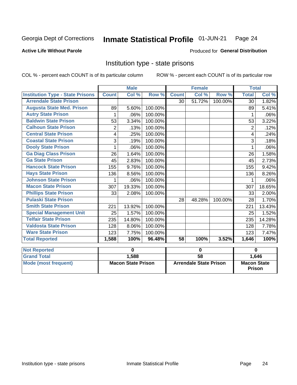#### Inmate Statistical Profile 01-JUN-21 Page 24

### **Active Life Without Parole**

### Produced for General Distribution

## Institution type - state prisons

COL % - percent each COUNT is of its particular column

|                                         |                | <b>Male</b>               |         |                 | <b>Female</b>                 |         | <b>Total</b>                        |         |
|-----------------------------------------|----------------|---------------------------|---------|-----------------|-------------------------------|---------|-------------------------------------|---------|
| <b>Institution Type - State Prisons</b> | <b>Count</b>   | Col %                     | Row %   | <b>Count</b>    | Col %                         | Row %   | <b>Total</b>                        | Col %   |
| <b>Arrendale State Prison</b>           |                |                           |         | 30              | 51.72%                        | 100.00% | 30                                  | 1.82%   |
| <b>Augusta State Med. Prison</b>        | 89             | 5.60%                     | 100.00% |                 |                               |         | 89                                  | 5.41%   |
| <b>Autry State Prison</b>               | 1              | .06%                      | 100.00% |                 |                               |         | 1                                   | $.06\%$ |
| <b>Baldwin State Prison</b>             | 53             | 3.34%                     | 100.00% |                 |                               |         | 53                                  | 3.22%   |
| <b>Calhoun State Prison</b>             | $\overline{2}$ | .13%                      | 100.00% |                 |                               |         | $\overline{c}$                      | .12%    |
| <b>Central State Prison</b>             | 4              | .25%                      | 100.00% |                 |                               |         | 4                                   | .24%    |
| <b>Coastal State Prison</b>             | 3              | .19%                      | 100.00% |                 |                               |         | 3                                   | .18%    |
| <b>Dooly State Prison</b>               | 1              | .06%                      | 100.00% |                 |                               |         | 1                                   | .06%    |
| <b>Ga Diag Class Prison</b>             | 26             | 1.64%                     | 100.00% |                 |                               |         | 26                                  | 1.58%   |
| <b>Ga State Prison</b>                  | 45             | 2.83%                     | 100.00% |                 |                               |         | 45                                  | 2.73%   |
| <b>Hancock State Prison</b>             | 155            | 9.76%                     | 100.00% |                 |                               |         | 155                                 | 9.42%   |
| <b>Hays State Prison</b>                | 136            | 8.56%                     | 100.00% |                 |                               |         | 136                                 | 8.26%   |
| <b>Johnson State Prison</b>             | 1              | .06%                      | 100.00% |                 |                               |         | 1                                   | .06%    |
| <b>Macon State Prison</b>               | 307            | 19.33%                    | 100.00% |                 |                               |         | 307                                 | 18.65%  |
| <b>Phillips State Prison</b>            | 33             | 2.08%                     | 100.00% |                 |                               |         | 33                                  | 2.00%   |
| <b>Pulaski State Prison</b>             |                |                           |         | 28              | 48.28%                        | 100.00% | 28                                  | 1.70%   |
| <b>Smith State Prison</b>               | 221            | 13.92%                    | 100.00% |                 |                               |         | 221                                 | 13.43%  |
| <b>Special Management Unit</b>          | 25             | 1.57%                     | 100.00% |                 |                               |         | 25                                  | 1.52%   |
| <b>Telfair State Prison</b>             | 235            | 14.80%                    | 100.00% |                 |                               |         | 235                                 | 14.28%  |
| <b>Valdosta State Prison</b>            | 128            | 8.06%                     | 100.00% |                 |                               |         | 128                                 | 7.78%   |
| <b>Ware State Prison</b>                | 123            | 7.75%                     | 100.00% |                 |                               |         | 123                                 | 7.47%   |
| <b>Total Reported</b>                   | 1,588          | 100%                      | 96.48%  | 58              | 100%                          | 3.52%   | 1,646                               | 100%    |
| <b>Not Reported</b>                     |                | $\mathbf 0$               |         | $\bf{0}$        |                               |         | $\mathbf 0$                         |         |
| <b>Grand Total</b>                      |                | 1,588                     |         | $\overline{58}$ |                               |         |                                     | 1,646   |
| <b>Mode (most frequent)</b>             |                | <b>Macon State Prison</b> |         |                 | <b>Arrendale State Prison</b> |         | <b>Macon State</b><br><b>Prison</b> |         |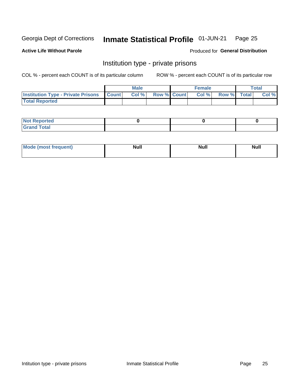#### Inmate Statistical Profile 01-JUN-21 Page 25

## **Active Life Without Parole**

### Produced for General Distribution

## Institution type - private prisons

COL % - percent each COUNT is of its particular column

|                                                 | <b>Male</b> |                    | <b>Female</b> |             | Total |
|-------------------------------------------------|-------------|--------------------|---------------|-------------|-------|
| <b>Institution Type - Private Prisons Count</b> | Col %       | <b>Row % Count</b> | Col %         | Row % Total | Col % |
| <b>Total Reported</b>                           |             |                    |               |             |       |

| Not Reported           |  |  |
|------------------------|--|--|
| <b>Cotal</b><br>______ |  |  |

| <b>Mo</b><br>frequent) | <b>Null</b> | <b>Null</b> | . . I *<br><b>IVUII</b> |
|------------------------|-------------|-------------|-------------------------|
|                        |             |             |                         |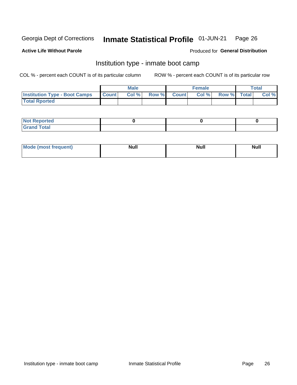#### Inmate Statistical Profile 01-JUN-21 Page 26

### **Active Life Without Parole**

### Produced for General Distribution

## Institution type - inmate boot camp

COL % - percent each COUNT is of its particular column

|                                      |                 | <b>Male</b> |              |              | <b>Female</b> |             | <b>Total</b> |
|--------------------------------------|-----------------|-------------|--------------|--------------|---------------|-------------|--------------|
| <b>Institution Type - Boot Camps</b> | <b>I</b> Count⊥ | Col %       | <b>Row %</b> | <b>Count</b> | Col %         | Row % Total | Col %        |
| <b>Total Rported</b>                 |                 |             |              |              |               |             |              |

| <b>Not Reported</b>            |  |  |
|--------------------------------|--|--|
| <b>Total</b><br>C <sub>r</sub> |  |  |

| Mod<br>uamo | Nul.<br>$- - - - - -$ | <b>Null</b> | <br>uu.<br>------ |
|-------------|-----------------------|-------------|-------------------|
|             |                       |             |                   |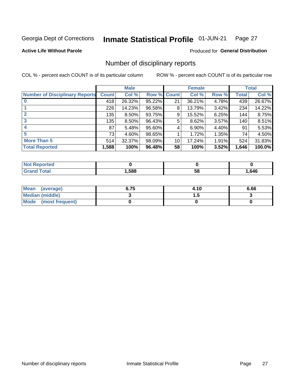#### Inmate Statistical Profile 01-JUN-21 Page 27

**Active Life Without Parole** 

Produced for General Distribution

## Number of disciplinary reports

COL % - percent each COUNT is of its particular column

|                                       |              | <b>Male</b> |             |    | <b>Female</b> |       |       | <b>Total</b> |
|---------------------------------------|--------------|-------------|-------------|----|---------------|-------|-------|--------------|
| <b>Number of Disciplinary Reports</b> | <b>Count</b> | Col %       | Row % Count |    | Col %         | Row % | Total | Col %        |
|                                       | 418          | 26.32%      | 95.22%      | 21 | 36.21%        | 4.78% | 439   | 26.67%       |
|                                       | 226          | 14.23%      | 96.58%      | 8  | 13.79%        | 3.42% | 234   | 14.22%       |
| $\mathbf{2}$                          | 135          | 8.50%       | 93.75%      | 9  | 15.52%        | 6.25% | 144   | 8.75%        |
| 3                                     | 135          | 8.50%       | 96.43%      | 5  | 8.62%         | 3.57% | 140   | 8.51%        |
|                                       | 87           | 5.48%       | 95.60%      | 4  | 6.90%         | 4.40% | 91    | 5.53%        |
| 5                                     | 73           | 4.60%       | 98.65%      |    | 1.72%         | 1.35% | 74    | 4.50%        |
| <b>More Than 5</b>                    | 514          | 32.37%      | 98.09%      | 10 | 17.24%        | 1.91% | 524   | 31.83%       |
| <b>Total Reported</b>                 | 1,588        | 100%        | 96.48%      | 58 | 100%          | 3.52% | 1,646 | 100.0%       |

| prreo<br>NOT |      |    |      |
|--------------|------|----|------|
| `otal        | ,588 | 58 | .646 |

| Mean (average)       | 6.75 | 4.10 | 6.66 |
|----------------------|------|------|------|
| Median (middle)      |      |      |      |
| Mode (most frequent) |      |      |      |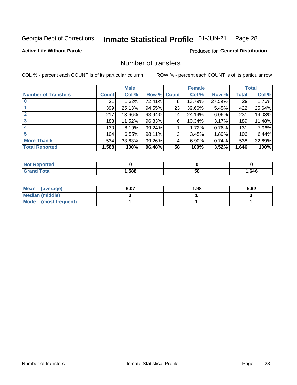#### Inmate Statistical Profile 01-JUN-21 Page 28

**Active Life Without Parole** 

Produced for General Distribution

## Number of transfers

COL % - percent each COUNT is of its particular column

|                            |              | <b>Male</b> |        |              | <b>Female</b> |        |              | <b>Total</b> |
|----------------------------|--------------|-------------|--------|--------------|---------------|--------|--------------|--------------|
| <b>Number of Transfers</b> | <b>Count</b> | Col %       | Row %  | <b>Count</b> | Col %         | Row %  | <b>Total</b> | Col %        |
|                            | 21           | 1.32%       | 72.41% | 8            | 13.79%        | 27.59% | 29           | 1.76%        |
|                            | 399          | 25.13%      | 94.55% | 23           | 39.66%        | 5.45%  | 422          | 25.64%       |
| $\mathbf{2}$               | 217          | 13.66%      | 93.94% | 14           | 24.14%        | 6.06%  | 231          | 14.03%       |
| 3                          | 183          | 11.52%      | 96.83% | 6            | 10.34%        | 3.17%  | 189          | 11.48%       |
| 4                          | 130          | 8.19%       | 99.24% |              | 1.72%         | 0.76%  | 131          | 7.96%        |
| 5                          | 104          | 6.55%       | 98.11% | 2            | 3.45%         | 1.89%  | 106          | 6.44%        |
| <b>More Than 5</b>         | 534          | 33.63%      | 99.26% | 4            | 6.90%         | 0.74%  | 538          | 32.69%       |
| <b>Total Reported</b>      | 1,588        | 100%        | 96.48% | 58           | 100%          | 3.52%  | 1,646        | 100%         |

| prreo<br>NOT |      |    |      |
|--------------|------|----|------|
| `otal        | ,588 | 58 | .646 |

| Mean (average)       | 6.07 | 1.98 | 5.92 |
|----------------------|------|------|------|
| Median (middle)      |      |      |      |
| Mode (most frequent) |      |      |      |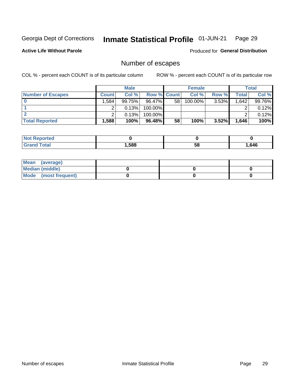#### Inmate Statistical Profile 01-JUN-21 Page 29

**Active Life Without Parole** 

Produced for General Distribution

## Number of escapes

COL % - percent each COUNT is of its particular column

|                          |              | <b>Male</b> |                    |    | <b>Female</b> |          |       | <b>Total</b> |
|--------------------------|--------------|-------------|--------------------|----|---------------|----------|-------|--------------|
| <b>Number of Escapes</b> | <b>Count</b> | Col%        | <b>Row % Count</b> |    | Col %         | Row %    | Total | Col %        |
|                          | .584         | 99.75%      | 96.47%             | 58 | 100.00%       | $3.53\%$ | 1,642 | 99.76%       |
|                          |              | 0.13%       | 100.00%            |    |               |          |       | 0.12%        |
|                          |              | 0.13%       | 100.00%            |    |               |          |       | 0.12%        |
| <b>Total Reported</b>    | $.588+$      | 100%        | 96.48%             | 58 | 100%          | 3.52%    | 1,646 | 100%         |

| <b>Not Reported</b> |      |    |      |
|---------------------|------|----|------|
| <b>Grand Total</b>  | ,588 | 58 | .646 |

| Mean (average)       |  |  |
|----------------------|--|--|
| Median (middle)      |  |  |
| Mode (most frequent) |  |  |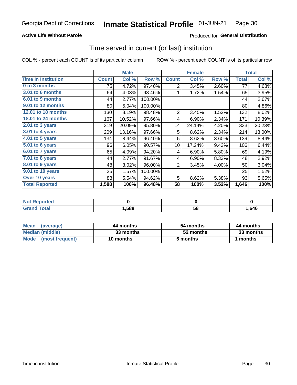## **Active Life Without Parole**

## Produced for General Distribution

## Time served in current (or last) institution

COL % - percent each COUNT is of its particular column

|                            |              | <b>Male</b> |         |                | <b>Female</b> |       |              | <b>Total</b> |
|----------------------------|--------------|-------------|---------|----------------|---------------|-------|--------------|--------------|
| <b>Time In Institution</b> | <b>Count</b> | Col %       | Row %   | <b>Count</b>   | Col %         | Row % | <b>Total</b> | Col %        |
| 0 to 3 months              | 75           | 4.72%       | 97.40%  | 2              | 3.45%         | 2.60% | 77           | 4.68%        |
| <b>3.01 to 6 months</b>    | 64           | 4.03%       | 98.46%  |                | 1.72%         | 1.54% | 65           | 3.95%        |
| 6.01 to 9 months           | 44           | 2.77%       | 100.00% |                |               |       | 44           | 2.67%        |
| 9.01 to 12 months          | 80           | 5.04%       | 100.00% |                |               |       | 80           | 4.86%        |
| <b>12.01 to 18 months</b>  | 130          | 8.19%       | 98.48%  | $\overline{2}$ | 3.45%         | 1.52% | 132          | 8.02%        |
| <b>18.01 to 24 months</b>  | 167          | 10.52%      | 97.66%  | 4              | 6.90%         | 2.34% | 171          | 10.39%       |
| $2.01$ to 3 years          | 319          | 20.09%      | 95.80%  | 14             | 24.14%        | 4.20% | 333          | 20.23%       |
| 3.01 to 4 years            | 209          | 13.16%      | 97.66%  | 5              | 8.62%         | 2.34% | 214          | 13.00%       |
| 4.01 to 5 years            | 134          | 8.44%       | 96.40%  | 5              | 8.62%         | 3.60% | 139          | 8.44%        |
| 5.01 to 6 years            | 96           | 6.05%       | 90.57%  | 10             | 17.24%        | 9.43% | 106          | 6.44%        |
| 6.01 to 7 years            | 65           | 4.09%       | 94.20%  | 4              | 6.90%         | 5.80% | 69           | 4.19%        |
| 7.01 to 8 years            | 44           | 2.77%       | 91.67%  | 4              | 6.90%         | 8.33% | 48           | 2.92%        |
| 8.01 to 9 years            | 48           | 3.02%       | 96.00%  | $\overline{2}$ | 3.45%         | 4.00% | 50           | 3.04%        |
| 9.01 to 10 years           | 25           | 1.57%       | 100.00% |                |               |       | 25           | 1.52%        |
| Over 10 years              | 88           | 5.54%       | 94.62%  | 5              | 8.62%         | 5.38% | 93           | 5.65%        |
| <b>Total Reported</b>      | 1,588        | 100%        | 96.48%  | 58             | 100%          | 3.52% | 1,646        | 100%         |

| <b>Not Reported</b> |       |    |      |
|---------------------|-------|----|------|
| $f \circ f \circ f$ | 588،، | vu | ,646 |

| <b>Mean</b><br>(average) | 44 months | 54 months | 44 months |
|--------------------------|-----------|-----------|-----------|
| Median (middle)          | 33 months | 52 months | 33 months |
| Mode (most frequent)     | 10 months | 5 months  | 1 months  |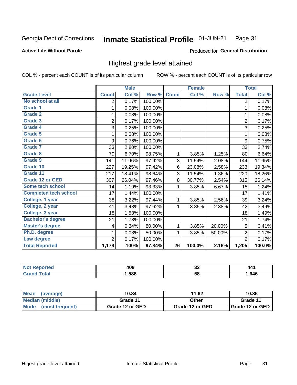#### Inmate Statistical Profile 01-JUN-21 Page 31

### **Active Life Without Parole**

### Produced for General Distribution

## Highest grade level attained

COL % - percent each COUNT is of its particular column

|                              |                | <b>Male</b> |         |                 | <b>Female</b> |        |                | <b>Total</b> |
|------------------------------|----------------|-------------|---------|-----------------|---------------|--------|----------------|--------------|
| <b>Grade Level</b>           | <b>Count</b>   | Col %       | Row %   | <b>Count</b>    | Col %         | Row %  | <b>Total</b>   | Col %        |
| No school at all             | 2              | 0.17%       | 100.00% |                 |               |        | $\overline{2}$ | 0.17%        |
| <b>Grade 1</b>               | 1              | 0.08%       | 100.00% |                 |               |        | 1              | 0.08%        |
| <b>Grade 2</b>               | 1              | 0.08%       | 100.00% |                 |               |        | 1              | 0.08%        |
| <b>Grade 3</b>               | $\overline{2}$ | 0.17%       | 100.00% |                 |               |        | $\overline{2}$ | 0.17%        |
| Grade 4                      | 3              | 0.25%       | 100.00% |                 |               |        | 3              | 0.25%        |
| Grade 5                      | 1              | 0.08%       | 100.00% |                 |               |        | 1              | 0.08%        |
| Grade 6                      | 9              | 0.76%       | 100.00% |                 |               |        | 9              | 0.75%        |
| Grade 7                      | 33             | 2.80%       | 100.00% |                 |               |        | 33             | 2.74%        |
| <b>Grade 8</b>               | 79             | 6.70%       | 98.75%  | 1               | 3.85%         | 1.25%  | 80             | 6.64%        |
| Grade 9                      | 141            | 11.96%      | 97.92%  | 3               | 11.54%        | 2.08%  | 144            | 11.95%       |
| Grade 10                     | 227            | 19.25%      | 97.42%  | 6               | 23.08%        | 2.58%  | 233            | 19.34%       |
| Grade 11                     | 217            | 18.41%      | 98.64%  | 3               | 11.54%        | 1.36%  | 220            | 18.26%       |
| <b>Grade 12 or GED</b>       | 307            | 26.04%      | 97.46%  | 8               | 30.77%        | 2.54%  | 315            | 26.14%       |
| Some tech school             | 14             | 1.19%       | 93.33%  | 1               | 3.85%         | 6.67%  | 15             | 1.24%        |
| <b>Completed tech school</b> | 17             | 1.44%       | 100.00% |                 |               |        | 17             | 1.41%        |
| College, 1 year              | 38             | 3.22%       | 97.44%  | 1               | 3.85%         | 2.56%  | 39             | 3.24%        |
| College, 2 year              | 41             | 3.48%       | 97.62%  | 1               | 3.85%         | 2.38%  | 42             | 3.49%        |
| College, 3 year              | 18             | 1.53%       | 100.00% |                 |               |        | 18             | 1.49%        |
| <b>Bachelor's degree</b>     | 21             | 1.78%       | 100.00% |                 |               |        | 21             | 1.74%        |
| <b>Master's degree</b>       | 4              | 0.34%       | 80.00%  | 1               | 3.85%         | 20.00% | 5              | 0.41%        |
| Ph.D. degree                 | 1              | 0.08%       | 50.00%  | 1               | 3.85%         | 50.00% | $\overline{2}$ | 0.17%        |
| Law degree                   | $\overline{2}$ | 0.17%       | 100.00% |                 |               |        | $\overline{2}$ | 0.17%        |
| <b>Total Reported</b>        | 1,179          | 100%        | 97.84%  | $\overline{26}$ | 100.0%        | 2.16%  | 1,205          | 100.0%       |

| NO | れへの  | ^^ | 44.  |
|----|------|----|------|
|    | TV.  | ◡▵ |      |
|    | ,588 | 58 | .646 |

| <b>Mean</b><br>(average) | 10.84           | 11.62           | 10.86           |
|--------------------------|-----------------|-----------------|-----------------|
| <b>Median (middle)</b>   | Grade 11        | Other           | Grade 11        |
| Mode<br>(most frequent)  | Grade 12 or GED | Grade 12 or GED | Grade 12 or GED |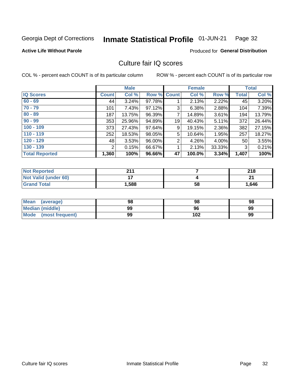#### Inmate Statistical Profile 01-JUN-21 Page 32

### **Active Life Without Parole**

### Produced for General Distribution

## Culture fair IQ scores

COL % - percent each COUNT is of its particular column

|                       |              | <b>Male</b> |                    |                | <b>Female</b> |          |              | <b>Total</b> |
|-----------------------|--------------|-------------|--------------------|----------------|---------------|----------|--------------|--------------|
| <b>IQ Scores</b>      | <b>Count</b> | Col %       | <b>Row % Count</b> |                | Col %         | Row %    | <b>Total</b> | Col %        |
| $60 - 69$             | 44           | 3.24%       | 97.78%             |                | 2.13%         | 2.22%    | 45           | 3.20%        |
| $70 - 79$             | 101          | 7.43%       | 97.12%             | 3              | 6.38%         | 2.88%    | 104          | 7.39%        |
| $80 - 89$             | 187          | 13.75%      | 96.39%             | $\overline{7}$ | 14.89%        | 3.61%    | 194          | 13.79%       |
| $90 - 99$             | 353          | 25.96%      | 94.89%             | 19             | 40.43%        | 5.11%    | 372          | 26.44%       |
| $100 - 109$           | 373          | 27.43%      | 97.64%             | 9              | 19.15%        | 2.36%    | 382          | 27.15%       |
| $110 - 119$           | 252          | 18.53%      | 98.05%             | 5              | 10.64%        | 1.95%    | 257          | 18.27%       |
| $120 - 129$           | 48           | 3.53%       | 96.00%             | $\overline{2}$ | 4.26%         | $4.00\%$ | 50           | 3.55%        |
| $130 - 139$           | 2            | 0.15%       | 66.67%             | 1              | 2.13%         | 33.33%   | 3            | 0.21%        |
| <b>Total Reported</b> | 1,360        | 100%        | 96.66%             | 47             | 100.0%        | 3.34%    | 1,407        | 100%         |

| <b>Not Reported</b>         | 944            |    | 218   |
|-----------------------------|----------------|----|-------|
| <b>Not Valid (under 60)</b> | $\blacksquare$ |    | n,    |
| <b>Grand Total</b>          | 1,588          | 58 | 1,646 |

| Mean<br>(average)       | 98 | 98  | 98 |
|-------------------------|----|-----|----|
| <b>Median (middle)</b>  | 99 | 96  | 99 |
| Mode<br>(most frequent) | 99 | 102 | 99 |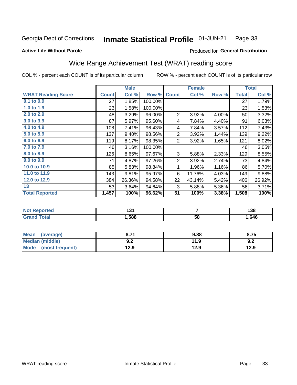#### Inmate Statistical Profile 01-JUN-21 Page 33

Produced for General Distribution

### **Active Life Without Parole**

## Wide Range Achievement Test (WRAT) reading score

COL % - percent each COUNT is of its particular column

|                           |              | <b>Male</b> |         |                 | <b>Female</b>   |       |              | <b>Total</b> |
|---------------------------|--------------|-------------|---------|-----------------|-----------------|-------|--------------|--------------|
| <b>WRAT Reading Score</b> | <b>Count</b> | Col %       | Row %   | <b>Count</b>    | Col %           | Row % | <b>Total</b> | Col %        |
| 0.1 to 0.9                | 27           | 1.85%       | 100.00% |                 |                 |       | 27           | 1.79%        |
| 1.0 to $1.9$              | 23           | 1.58%       | 100.00% |                 |                 |       | 23           | 1.53%        |
| 2.0 to 2.9                | 48           | 3.29%       | 96.00%  | $\overline{2}$  | 3.92%           | 4.00% | 50           | 3.32%        |
| 3.0 to 3.9                | 87           | 5.97%       | 95.60%  | 4               | 7.84%           | 4.40% | 91           | 6.03%        |
| 4.0 to 4.9                | 108          | 7.41%       | 96.43%  | 4               | 7.84%           | 3.57% | 112          | 7.43%        |
| 5.0 t <sub>0</sub> 5.9    | 137          | 9.40%       | 98.56%  | $\overline{c}$  | 3.92%           | 1.44% | 139          | 9.22%        |
| 6.0 to 6.9                | 119          | 8.17%       | 98.35%  | $\overline{2}$  | 3.92%           | 1.65% | 121          | 8.02%        |
| 7.0 to 7.9                | 46           | 3.16%       | 100.00% |                 |                 |       | 46           | 3.05%        |
| 8.0 to 8.9                | 126          | 8.65%       | 97.67%  | 3               | 5.88%           | 2.33% | 129          | 8.55%        |
| 9.0 to 9.9                | 71           | 4.87%       | 97.26%  | $\overline{2}$  | 3.92%           | 2.74% | 73           | 4.84%        |
| 10.0 to 10.9              | 85           | 5.83%       | 98.84%  | 1               | 1.96%           | 1.16% | 86           | 5.70%        |
| 11.0 to 11.9              | 143          | 9.81%       | 95.97%  | 6               | 11.76%          | 4.03% | 149          | 9.88%        |
| 12.0 to 12.9              | 384          | 26.36%      | 94.58%  | 22              | 43.14%          | 5.42% | 406          | 26.92%       |
| 13                        | 53           | 3.64%       | 94.64%  | 3               | 5.88%           | 5.36% | 56           | 3.71%        |
| <b>Total Reported</b>     | 1,457        | 100%        | 96.62%  | $\overline{51}$ | 100%            | 3.38% | 1,508        | 100%         |
|                           |              |             |         |                 |                 |       |              |              |
| <b>Not Reported</b>       |              | 131         |         |                 | 7               |       |              | 138          |
| <b>Grand Total</b>        |              | 1,588       |         |                 | $\overline{58}$ |       |              | 1,646        |

| Mean<br>(average)              | 8.71       | 9.88 | 8.75 |
|--------------------------------|------------|------|------|
| <b>Median (middle)</b>         | י ה<br>9.Z | 11.9 | 9.2  |
| <b>Mode</b><br>(most frequent) | 12.9       | 12.9 | 12.9 |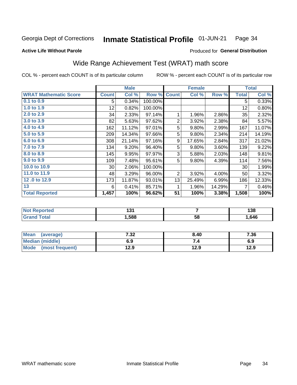#### Inmate Statistical Profile 01-JUN-21 Page 34

### **Active Life Without Parole**

## **Produced for General Distribution**

## Wide Range Achievement Test (WRAT) math score

COL % - percent each COUNT is of its particular column

|                              |              | <b>Male</b> |         |                | <b>Female</b> |        |              | <b>Total</b> |
|------------------------------|--------------|-------------|---------|----------------|---------------|--------|--------------|--------------|
| <b>WRAT Mathematic Score</b> | <b>Count</b> | Col %       | Row %   | <b>Count</b>   | Col %         | Row %  | <b>Total</b> | Col %        |
| $0.1$ to $0.9$               | 5            | 0.34%       | 100.00% |                |               |        | 5            | 0.33%        |
| 1.0 to 1.9                   | 12           | 0.82%       | 100.00% |                |               |        | 12           | 0.80%        |
| 2.0 to 2.9                   | 34           | 2.33%       | 97.14%  | 1              | 1.96%         | 2.86%  | 35           | 2.32%        |
| 3.0 to 3.9                   | 82           | 5.63%       | 97.62%  | $\overline{2}$ | 3.92%         | 2.38%  | 84           | 5.57%        |
| 4.0 to 4.9                   | 162          | 11.12%      | 97.01%  | 5              | 9.80%         | 2.99%  | 167          | 11.07%       |
| 5.0 to 5.9                   | 209          | 14.34%      | 97.66%  | 5              | 9.80%         | 2.34%  | 214          | 14.19%       |
| 6.0 to 6.9                   | 308          | 21.14%      | 97.16%  | 9              | 17.65%        | 2.84%  | 317          | 21.02%       |
| 7.0 to 7.9                   | 134          | 9.20%       | 96.40%  | 5              | 9.80%         | 3.60%  | 139          | 9.22%        |
| 8.0 to 8.9                   | 145          | 9.95%       | 97.97%  | 3              | 5.88%         | 2.03%  | 148          | 9.81%        |
| 9.0 to 9.9                   | 109          | 7.48%       | 95.61%  | 5              | 9.80%         | 4.39%  | 114          | 7.56%        |
| 10.0 to 10.9                 | 30           | 2.06%       | 100.00% |                |               |        | 30           | 1.99%        |
| 11.0 to 11.9                 | 48           | 3.29%       | 96.00%  | $\overline{2}$ | 3.92%         | 4.00%  | 50           | 3.32%        |
| 12.0 to 12.9                 | 173          | 11.87%      | 93.01%  | 13             | 25.49%        | 6.99%  | 186          | 12.33%       |
| 13                           | 6            | 0.41%       | 85.71%  | 1              | 1.96%         | 14.29% | 7            | 0.46%        |
| <b>Total Reported</b>        | 1,457        | 100%        | 96.62%  | 51             | 100%          | 3.38%  | 1,508        | 100%         |
|                              |              |             |         |                |               |        |              |              |

| <b>Not Reported</b>   | י פי<br>ו שו |    | 138  |
|-----------------------|--------------|----|------|
| <b>Total</b><br>Grand | ,588         | 58 | ,646 |

| <b>Mean</b><br>(average)       | 7 22<br>7د.∶ | 8.40 | 7.36 |
|--------------------------------|--------------|------|------|
| Median (middle)                | 6.9          |      | 6.9  |
| <b>Mode</b><br>(most frequent) | 12.9         | 12.9 | 12.9 |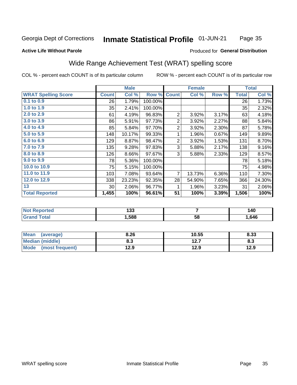#### Inmate Statistical Profile 01-JUN-21 Page 35

### **Active Life Without Parole**

## **Produced for General Distribution**

## Wide Range Achievement Test (WRAT) spelling score

COL % - percent each COUNT is of its particular column

ROW % - percent each COUNT is of its particular row

 $\overline{58}$ 

|                            |                 | <b>Male</b> |         |                | <b>Female</b> |       |              | <b>Total</b> |
|----------------------------|-----------------|-------------|---------|----------------|---------------|-------|--------------|--------------|
| <b>WRAT Spelling Score</b> | <b>Count</b>    | Col %       | Row %   | <b>Count</b>   | Col %         | Row % | <b>Total</b> | Col %        |
| 0.1 to 0.9                 | 26              | 1.79%       | 100.00% |                |               |       | 26           | 1.73%        |
| 1.0 to 1.9                 | 35              | 2.41%       | 100.00% |                |               |       | 35           | 2.32%        |
| 2.0 to 2.9                 | 61              | 4.19%       | 96.83%  | $\overline{2}$ | 3.92%         | 3.17% | 63           | 4.18%        |
| 3.0 to 3.9                 | 86              | 5.91%       | 97.73%  | $\overline{2}$ | 3.92%         | 2.27% | 88           | 5.84%        |
| 4.0 to 4.9                 | 85              | 5.84%       | 97.70%  | $\overline{2}$ | 3.92%         | 2.30% | 87           | 5.78%        |
| 5.0 to 5.9                 | 148             | 10.17%      | 99.33%  | 1              | 1.96%         | 0.67% | 149          | 9.89%        |
| 6.0 to 6.9                 | 129             | 8.87%       | 98.47%  | 2              | 3.92%         | 1.53% | 131          | 8.70%        |
| 7.0 to 7.9                 | 135             | 9.28%       | 97.83%  | 3              | 5.88%         | 2.17% | 138          | 9.16%        |
| 8.0 to 8.9                 | 126             | 8.66%       | 97.67%  | 3              | 5.88%         | 2.33% | 129          | 8.57%        |
| 9.0 to 9.9                 | 78              | 5.36%       | 100.00% |                |               |       | 78           | 5.18%        |
| 10.0 to 10.9               | 75              | 5.15%       | 100.00% |                |               |       | 75           | 4.98%        |
| 11.0 to 11.9               | 103             | 7.08%       | 93.64%  | $\overline{7}$ | 13.73%        | 6.36% | 110          | 7.30%        |
| 12.0 to 12.9               | 338             | 23.23%      | 92.35%  | 28             | 54.90%        | 7.65% | 366          | 24.30%       |
| 13                         | 30 <sup>°</sup> | 2.06%       | 96.77%  | 1              | 1.96%         | 3.23% | 31           | 2.06%        |
| <b>Total Reported</b>      | 1,455           | 100%        | 96.61%  | 51             | 100%          | 3.39% | 1,506        | 100%         |
|                            |                 |             |         |                |               |       |              |              |
| <b>Not Reported</b>        |                 | 133         |         |                | 7             |       |              | 140          |

| <b>Mean</b><br>(average)       | 8.26       | 10.55         | 8.33 |
|--------------------------------|------------|---------------|------|
| Median (middle)                | פ ס<br>o.J | 12.7<br>I 4.I | ი.ა  |
| <b>Mode</b><br>(most frequent) | 12.9       | 12.9          | 12.9 |

1,588

**Grand Total** 

1,646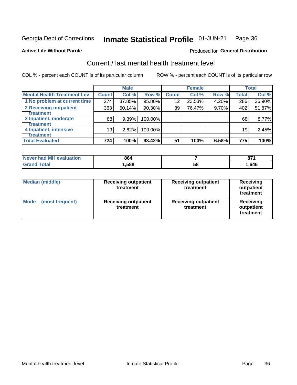#### Inmate Statistical Profile 01-JUN-21 Page 36

### **Active Life Without Parole**

## **Produced for General Distribution**

## Current / last mental health treatment level

COL % - percent each COUNT is of its particular column

|                                    |              | <b>Male</b> |         |              | <b>Female</b> |       |              | <b>Total</b> |
|------------------------------------|--------------|-------------|---------|--------------|---------------|-------|--------------|--------------|
| <b>Mental Health Treatment Lev</b> | <b>Count</b> | Col %       | Row %   | <b>Count</b> | Col %         | Row % | <b>Total</b> | Col %        |
| 1 No problem at current time       | 274          | 37.85%      | 95.80%  | 12           | 23.53%        | 4.20% | 286          | 36.90%       |
| 2 Receiving outpatient             | 363          | 50.14%      | 90.30%  | 39           | 76.47%        | 9.70% | 402          | 51.87%       |
| <b>Treatment</b>                   |              |             |         |              |               |       |              |              |
| 3 Inpatient, moderate              | 68           | 9.39%       | 100.00% |              |               |       | 68           | 8.77%        |
| <b>Treatment</b>                   |              |             |         |              |               |       |              |              |
| 4 Inpatient, intensive             | 19           | 2.62%       | 100.00% |              |               |       | 19           | 2.45%        |
| Treatment                          |              |             |         |              |               |       |              |              |
| <b>Total Evaluated</b>             | 724          | 100%        | 93.42%  | 51           | 100%          | 6.58% | 775          | 100%         |

| Never had MH evaluation | 864   |    | 67.<br>v, |
|-------------------------|-------|----|-----------|
| <b>Total</b>            | .,588 | Ⴢჾ | .646      |

| <b>Median (middle)</b>         | <b>Receiving outpatient</b><br>treatment | <b>Receiving outpatient</b><br>treatment | <b>Receiving</b><br>outpatient<br>treatment |  |
|--------------------------------|------------------------------------------|------------------------------------------|---------------------------------------------|--|
| <b>Mode</b><br>(most frequent) | <b>Receiving outpatient</b><br>treatment | <b>Receiving outpatient</b><br>treatment | <b>Receiving</b><br>outpatient<br>treatment |  |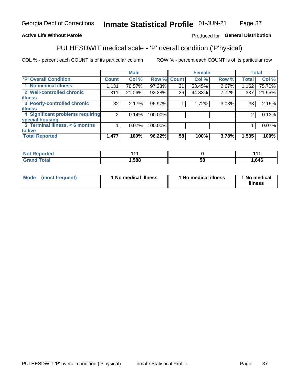#### **Inmate Statistical Profile 01-JUN-21** Page 37

## **Active Life Without Parole**

## Produced for General Distribution

## PULHESDWIT medical scale - 'P' overall condition ('P'hysical)

COL % - percent each COUNT is of its particular column

|                                  |                | <b>Male</b> |         |              | <b>Female</b> |       |                | <b>Total</b> |
|----------------------------------|----------------|-------------|---------|--------------|---------------|-------|----------------|--------------|
| 'P' Overall Condition            | <b>Count</b>   | Col %       | Row %   | <b>Count</b> | Col %         | Row % | Total          | Col %        |
| 1 No medical illness             | 1,131          | 76.57%      | 97.33%  | 31           | 53.45%        | 2.67% | 1,162          | 75.70%       |
| 2 Well-controlled chronic        | 311            | 21.06%      | 92.28%  | 26           | 44.83%        | 7.72% | 337            | 21.95%       |
| <b>lilness</b>                   |                |             |         |              |               |       |                |              |
| 3 Poorly-controlled chronic      | 32             | 2.17%       | 96.97%  |              | 1.72%         | 3.03% | 33             | 2.15%        |
| <b>illness</b>                   |                |             |         |              |               |       |                |              |
| 4 Significant problems requiring | $\overline{2}$ | 0.14%       | 100.00% |              |               |       | $\overline{2}$ | 0.13%        |
| special housing                  |                |             |         |              |               |       |                |              |
| 5 Terminal illness, $<$ 6 months |                | $0.07\%$    | 100.00% |              |               |       |                | 0.07%        |
| to live                          |                |             |         |              |               |       |                |              |
| <b>Total Reported</b>            | 1,477          | 100%        | 96.22%  | 58           | 100%          | 3.78% | 1,535          | 100%         |

| <b>NO</b><br>rtea<br>, , , | <b>AAA</b> |    | $\overline{A}$ |
|----------------------------|------------|----|----------------|
| $F$ ntal<br>_____          | ,588       | Эč | ,646           |

|  |  | Mode (most frequent) | 1 No medical illness | 1 No medical illness | 1 No medical<br>illness |
|--|--|----------------------|----------------------|----------------------|-------------------------|
|--|--|----------------------|----------------------|----------------------|-------------------------|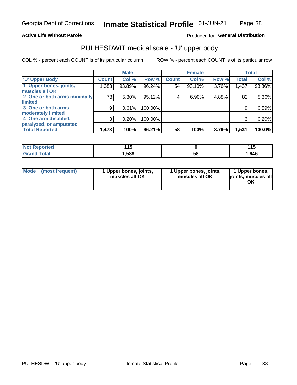### **Active Life Without Parole**

## Produced for General Distribution

## PULHESDWIT medical scale - 'U' upper body

COL % - percent each COUNT is of its particular column

|                              |              | <b>Male</b> |         |              | <b>Female</b> |       |              | <b>Total</b> |
|------------------------------|--------------|-------------|---------|--------------|---------------|-------|--------------|--------------|
| <b>U' Upper Body</b>         | <b>Count</b> | Col %       | Row %   | <b>Count</b> | Col %         | Row % | <b>Total</b> | Col %        |
| 1 Upper bones, joints,       | 1,383        | 93.89%      | 96.24%  | 54           | 93.10%        | 3.76% | 1,437        | $93.86\%$    |
| muscles all OK               |              |             |         |              |               |       |              |              |
| 2 One or both arms minimally | 78           | 5.30%       | 95.12%  | 4            | 6.90%         | 4.88% | 82           | 5.36%        |
| <b>limited</b>               |              |             |         |              |               |       |              |              |
| 3 One or both arms           | 9            | 0.61%       | 100.00% |              |               |       | 9            | 0.59%        |
| <b>moderately limited</b>    |              |             |         |              |               |       |              |              |
| 4 One arm disabled,          | 3            | 0.20%       | 100.00% |              |               |       | 3            | 0.20%        |
| paralyzed, or amputated      |              |             |         |              |               |       |              |              |
| <b>Total Reported</b>        | 1,473        | 100%        | 96.21%  | 58           | 100%          | 3.79% | 1,531        | 100.0%       |

| <b>Not Reported</b> | .<br>. . J |    | 44F<br>. |
|---------------------|------------|----|----------|
| <b>Total</b>        | ,588       | 58 | .646     |

| <b>Mode</b> | (most frequent) | l Upper bones, joints,<br>muscles all OK | 1 Upper bones, joints,<br>muscles all OK | 1 Upper bones,<br>ljoints, muscles all |
|-------------|-----------------|------------------------------------------|------------------------------------------|----------------------------------------|
|-------------|-----------------|------------------------------------------|------------------------------------------|----------------------------------------|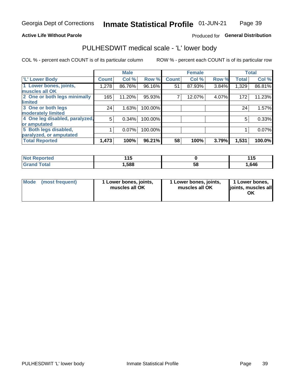### **Active Life Without Parole**

## Produced for General Distribution

## PULHESDWIT medical scale - 'L' lower body

COL % - percent each COUNT is of its particular column

|                                |              | <b>Male</b> |         |              | <b>Female</b> |       |              | <b>Total</b> |
|--------------------------------|--------------|-------------|---------|--------------|---------------|-------|--------------|--------------|
| 'L' Lower Body                 | <b>Count</b> | Col %       | Row %   | <b>Count</b> | Col %         | Row % | <b>Total</b> | Col %        |
| 1 Lower bones, joints,         | 1,278        | 86.76%      | 96.16%  | 51           | 87.93%        | 3.84% | 1,329        | 86.81%       |
| muscles all OK                 |              |             |         |              |               |       |              |              |
| 2 One or both legs minimally   | 165          | 11.20%      | 95.93%  |              | 12.07%        | 4.07% | 172          | 11.23%       |
| limited                        |              |             |         |              |               |       |              |              |
| 3 One or both legs             | 24           | 1.63%       | 100.00% |              |               |       | 24           | 1.57%        |
| moderately limited             |              |             |         |              |               |       |              |              |
| 4 One leg disabled, paralyzed, | 5            | 0.34%       | 100.00% |              |               |       | 5            | 0.33%        |
| or amputated                   |              |             |         |              |               |       |              |              |
| 5 Both legs disabled,          |              | 0.07%       | 100.00% |              |               |       |              | 0.07%        |
| paralyzed, or amputated        |              |             |         |              |               |       |              |              |
| <b>Total Reported</b>          | 1,473        | 100%        | 96.21%  | 58           | 100%          | 3.79% | 1,531        | 100.0%       |

| <b>Not Reported</b> | .<br>. . |    | . .<br>ט ו |
|---------------------|----------|----|------------|
| <b>Grand Total</b>  | 1,588    | ວັ | .646       |

| Mode (most frequent) | I Lower bones, joints,<br>muscles all OK | 1 Lower bones, joints,<br>muscles all OK | 1 Lower bones,<br>joints, muscles all<br>ΟK |
|----------------------|------------------------------------------|------------------------------------------|---------------------------------------------|
|----------------------|------------------------------------------|------------------------------------------|---------------------------------------------|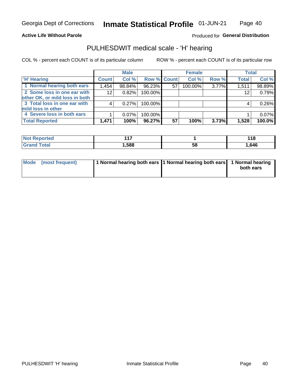### **Active Life Without Parole**

Produced for General Distribution

## PULHESDWIT medical scale - 'H' hearing

COL % - percent each COUNT is of its particular column

|                                |              | <b>Male</b> |                    |    | <b>Female</b> |       | <b>Total</b> |        |
|--------------------------------|--------------|-------------|--------------------|----|---------------|-------|--------------|--------|
| <b>H' Hearing</b>              | <b>Count</b> | Col %       | <b>Row % Count</b> |    | Col %         | Row % | <b>Total</b> | Col %  |
| 1 Normal hearing both ears     | 1,454        | 98.84%      | 96.23%             | 57 | 100.00%       | 3.77% | 1,511        | 98.89% |
| 2 Some loss in one ear with    | 12           | 0.82%       | 100.00%            |    |               |       | 12           | 0.79%  |
| other OK, or mild loss in both |              |             |                    |    |               |       |              |        |
| 3 Total loss in one ear with   | 4            | 0.27%       | 100.00%            |    |               |       | 4            | 0.26%  |
| mild loss in other             |              |             |                    |    |               |       |              |        |
| 4 Severe loss in both ears     |              | $0.07\%$    | 100.00%            |    |               |       |              | 0.07%  |
| <b>Total Reported</b>          | 1,471        | 100%        | 96.27%             | 57 | 100%          | 3.73% | 1,528        | 100.0% |

| <b>Not Reported</b> | $\overline{1}$ |           | . A C<br>. |
|---------------------|----------------|-----------|------------|
| <b>Fotal</b>        | ,588           | - 0<br>Эō | .,646      |

| Mode (most frequent) | 1 Normal hearing both ears 1 Normal hearing both ears 1 Normal hearing | both ears |
|----------------------|------------------------------------------------------------------------|-----------|
|                      |                                                                        |           |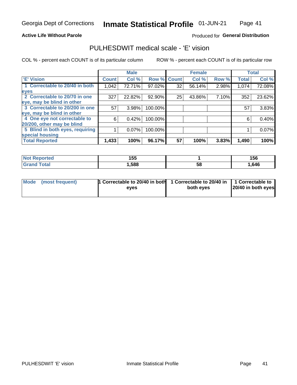### **Active Life Without Parole**

### Produced for General Distribution

## PULHESDWIT medical scale - 'E' vision

COL % - percent each COUNT is of its particular column

|                                 |              | <b>Male</b> |             |    | <b>Female</b> |       |              | <b>Total</b> |
|---------------------------------|--------------|-------------|-------------|----|---------------|-------|--------------|--------------|
| <b>E' Vision</b>                | <b>Count</b> | Col %       | Row % Count |    | Col %         | Row % | <b>Total</b> | Col %        |
| 1 Correctable to 20/40 in both  | 1,042        | 72.71%      | 97.02%      | 32 | 56.14%        | 2.98% | 1,074        | 72.08%       |
| eyes                            |              |             |             |    |               |       |              |              |
| 2 Correctable to 20/70 in one   | 327          | 22.82%      | 92.90%      | 25 | 43.86%        | 7.10% | 352          | 23.62%       |
| eye, may be blind in other      |              |             |             |    |               |       |              |              |
| 3 Correctable to 20/200 in one  | 57           | 3.98%       | 100.00%     |    |               |       | 57           | 3.83%        |
| eye, may be blind in other      |              |             |             |    |               |       |              |              |
| 4 One eye not correctable to    | 6            | 0.42%       | 100.00%     |    |               |       | 6            | 0.40%        |
| 20/200, other may be blind      |              |             |             |    |               |       |              |              |
| 5 Blind in both eyes, requiring |              | 0.07%       | 100.00%     |    |               |       |              | 0.07%        |
| special housing                 |              |             |             |    |               |       |              |              |
| <b>Total Reported</b>           | 1,433        | 100%        | 96.17%      | 57 | 100%          | 3.83% | 1,490        | 100%         |

| <b>orted</b><br>NOT | 155  |    | 156  |
|---------------------|------|----|------|
| Total               | ,588 | 58 | ,646 |

| Mode (most frequent) | 1 Correctable to 20/40 in both<br>eves | 1 Correctable to 20/40 in   1 Correctable to  <br>both eyes | 20/40 in both eyes |
|----------------------|----------------------------------------|-------------------------------------------------------------|--------------------|
|                      |                                        |                                                             |                    |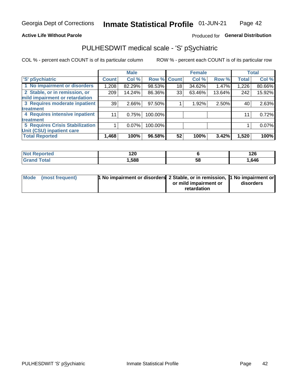### **Active Life Without Parole**

## Produced for General Distribution

## PULHESDWIT medical scale - 'S' pSychiatric

COL % - percent each COUNT is of its particular column

|                                        |              | <b>Male</b> |         |             | <b>Female</b> |        |              | <b>Total</b> |
|----------------------------------------|--------------|-------------|---------|-------------|---------------|--------|--------------|--------------|
| 'S' pSychiatric                        | <b>Count</b> | Col %       |         | Row % Count | Col %         | Row %  | <b>Total</b> | Col %        |
| 1 No impairment or disorders           | 1,208        | 82.29%      | 98.53%  | 18          | 34.62%        | 1.47%  | 1,226        | 80.66%       |
| 2 Stable, or in remission, or          | 209          | 14.24%      | 86.36%  | 33          | 63.46%        | 13.64% | 242          | 15.92%       |
| mild impairment or retardation         |              |             |         |             |               |        |              |              |
| 3 Requires moderate inpatient          | 39           | $2.66\%$    | 97.50%  |             | 1.92%         | 2.50%  | 40           | 2.63%        |
| treatment                              |              |             |         |             |               |        |              |              |
| 4 Requires intensive inpatient         | 11           | 0.75%       | 100.00% |             |               |        | 11           | 0.72%        |
| treatment                              |              |             |         |             |               |        |              |              |
| <b>5 Requires Crisis Stabilization</b> |              | $0.07\%$    | 100.00% |             |               |        |              | 0.07%        |
| Unit (CSU) inpatient care              |              |             |         |             |               |        |              |              |
| <b>Total Reported</b>                  | 1,468        | 100%        | 96.58%  | 52          | 100%          | 3.42%  | 1,520        | 100%         |

| 'Not Reported | חר ו<br>14 V |    | 12c<br>14 Y |
|---------------|--------------|----|-------------|
| <b>Total</b>  | ,588         | ວະ | 1,646       |

| Mode (most frequent) | <b>1 No impairment or disorders</b> 2 Stable, or in remission, 11 No impairment or |                       |           |
|----------------------|------------------------------------------------------------------------------------|-----------------------|-----------|
|                      |                                                                                    | or mild impairment or | disorders |
|                      |                                                                                    | retardation           |           |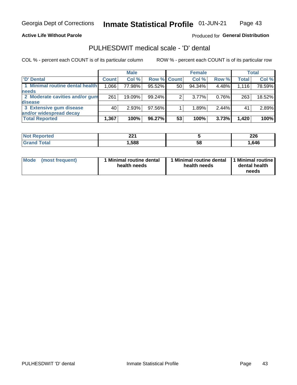### **Active Life Without Parole**

## Produced for General Distribution

## PULHESDWIT medical scale - 'D' dental

COL % - percent each COUNT is of its particular column

|                                 |              | <b>Male</b> |                    |    | <b>Female</b> |       |              | Total  |
|---------------------------------|--------------|-------------|--------------------|----|---------------|-------|--------------|--------|
| 'D' Dental                      | <b>Count</b> | Col %       | <b>Row % Count</b> |    | Col %         | Row % | <b>Total</b> | Col %  |
| 1 Minimal routine dental health | 1,066        | 77.98%      | 95.52%             | 50 | 94.34%        | 4.48% | 1,116        | 78.59% |
| <b>needs</b>                    |              |             |                    |    |               |       |              |        |
| 2 Moderate cavities and/or gum  | 261          | 19.09%      | 99.24%             | 2  | $3.77\%$      | 0.76% | 263          | 18.52% |
| <b>disease</b>                  |              |             |                    |    |               |       |              |        |
| 3 Extensive gum disease         | 40           | 2.93%       | 97.56%             |    | 1.89%         | 2.44% | 41           | 2.89%  |
| and/or widespread decay         |              |             |                    |    |               |       |              |        |
| <b>Total Reported</b>           | 1,367        | 100%        | 96.27%             | 53 | 100%          | 3.73% | 1,420        | 100%   |

| prtea | າາ4  |    | מהה  |
|-------|------|----|------|
|       | 44 I |    | ZZU  |
| 'ota  | .588 | Эč | .646 |

| <b>Mode</b><br>(most frequent) | <b>Minimal routine dental</b><br>health needs | 1 Minimal routine dental<br>health needs | 1 Minimal routine<br>dental health<br>needs |
|--------------------------------|-----------------------------------------------|------------------------------------------|---------------------------------------------|
|--------------------------------|-----------------------------------------------|------------------------------------------|---------------------------------------------|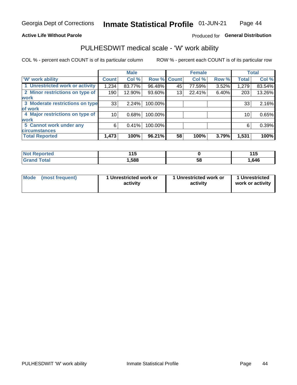### **Active Life Without Parole**

## Produced for General Distribution

## PULHESDWIT medical scale - 'W' work ability

COL % - percent each COUNT is of its particular column

|                                 |                 | <b>Male</b> |         |             | <b>Female</b> |       |              | <b>Total</b> |
|---------------------------------|-----------------|-------------|---------|-------------|---------------|-------|--------------|--------------|
| <b>W' work ability</b>          | <b>Count</b>    | Col %       |         | Row % Count | Col %         | Row % | <b>Total</b> | Col %        |
| 1 Unrestricted work or activity | 1,234           | 83.77%      | 96.48%  | 45          | 77.59%        | 3.52% | 1,279        | 83.54%       |
| 2 Minor restrictions on type of | 190             | 12.90%      | 93.60%  | 13          | 22.41%        | 6.40% | 203          | 13.26%       |
| <b>work</b>                     |                 |             |         |             |               |       |              |              |
| 3 Moderate restrictions on type | 33              | 2.24%       | 100.00% |             |               |       | 33           | 2.16%        |
| of work                         |                 |             |         |             |               |       |              |              |
| 4 Major restrictions on type of | 10 <sup>1</sup> | 0.68%       | 100.00% |             |               |       | 10           | 0.65%        |
| <b>work</b>                     |                 |             |         |             |               |       |              |              |
| 5 Cannot work under any         | 6               | 0.41%       | 100.00% |             |               |       | 6            | 0.39%        |
| <b>circumstances</b>            |                 |             |         |             |               |       |              |              |
| <b>Total Reported</b>           | 1,473           | 100%        | 96.21%  | 58          | 100%          | 3.79% | 1,531        | 100%         |

| <b>Not Reported</b>     | .<br>.<br>. |    | 44F<br>. . U |
|-------------------------|-------------|----|--------------|
| <b>Total</b><br>Grand . | 588,        | 58 | .646،        |

| <b>Mode</b>     | 1 Unrestricted work or | 1 Unrestricted work or | 1 Unrestricted   |
|-----------------|------------------------|------------------------|------------------|
| (most frequent) | activity               | activity               | work or activity |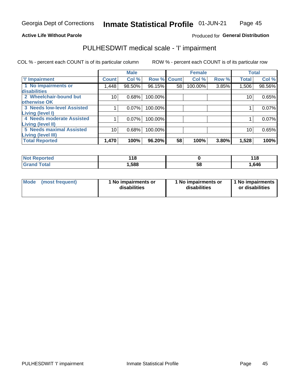### **Active Life Without Parole**

## Produced for General Distribution

## PULHESDWIT medical scale - 'I' impairment

COL % - percent each COUNT is of its particular column ROW % - percent each COUNT is of its particular row

|                                   |              | <b>Male</b> |             |    | <b>Female</b> |       |              | <b>Total</b> |
|-----------------------------------|--------------|-------------|-------------|----|---------------|-------|--------------|--------------|
| <b>T' Impairment</b>              | <b>Count</b> | Col %       | Row % Count |    | Col %         | Row % | <b>Total</b> | Col %        |
| 1 No impairments or               | .448         | 98.50%      | 96.15%      | 58 | 100.00%       | 3.85% | 1,506        | 98.56%       |
| <b>disabilities</b>               |              |             |             |    |               |       |              |              |
| 2 Wheelchair-bound but            | 10           | 0.68%       | 100.00%     |    |               |       | 10           | 0.65%        |
| otherwise OK                      |              |             |             |    |               |       |              |              |
| <b>3 Needs low-level Assisted</b> |              | 0.07%       | 100.00%     |    |               |       |              | 0.07%        |
| Living (level I)                  |              |             |             |    |               |       |              |              |
| 4 Needs moderate Assisted         |              | 0.07%       | 100.00%     |    |               |       |              | 0.07%        |
| Living (level II)                 |              |             |             |    |               |       |              |              |
| <b>5 Needs maximal Assisted</b>   | 10           | 0.68%       | 100.00%     |    |               |       | 10           | 0.65%        |
| <b>Living (level III)</b>         |              |             |             |    |               |       |              |              |
| <b>Total Reported</b>             | 1,470        | 100%        | 96.20%      | 58 | 100%          | 3.80% | 1,528        | 100%         |

| orted       | 440<br>. .<br>$\sim$ |    | 440<br><u> 10</u> |
|-------------|----------------------|----|-------------------|
| <b>otal</b> | ,588                 | 58 | 646, ا            |

| Mode | (most frequent) | 1 No impairments or<br>disabilities | 1 No impairments or<br>disabilities | 1 No impairments<br>or disabilities |
|------|-----------------|-------------------------------------|-------------------------------------|-------------------------------------|
|------|-----------------|-------------------------------------|-------------------------------------|-------------------------------------|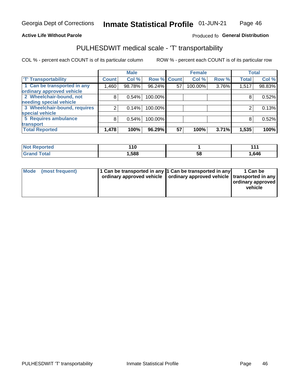### **Active Life Without Parole**

### Produced fo General Distribution

## PULHESDWIT medical scale - 'T' transportability

COL % - percent each COUNT is of its particular column

|                              |              | <b>Male</b> |         |             | <b>Female</b> |       |              | <b>Total</b> |
|------------------------------|--------------|-------------|---------|-------------|---------------|-------|--------------|--------------|
| <b>T' Transportability</b>   | <b>Count</b> | Col %       |         | Row % Count | Col %         | Row % | <b>Total</b> | Col %        |
| 1 Can be transported in any  | .460         | 98.78%      | 96.24%  | 57          | 100.00%       | 3.76% | 1,517        | 98.83%       |
| ordinary approved vehicle    |              |             |         |             |               |       |              |              |
| 2 Wheelchair-bound, not      | 8            | 0.54%       | 100.00% |             |               |       |              | 0.52%        |
| needing special vehicle      |              |             |         |             |               |       |              |              |
| 3 Wheelchair-bound, requires |              | 0.14%       | 100.00% |             |               |       |              | 0.13%        |
| special vehicle              |              |             |         |             |               |       |              |              |
| 5 Requires ambulance         | 8            | 0.54%       | 100.00% |             |               |       |              | 0.52%        |
| transport                    |              |             |         |             |               |       |              |              |
| <b>Total Reported</b>        | 1,478        | 100%        | 96.29%  | 57          | 100%          | 3.71% | 1,535        | 100%         |

| rteo  | 44 C<br>1 V |    | - - - |
|-------|-------------|----|-------|
| `otal | 1,588       | Ⴢჾ | .646، |

| <b>Mode</b> | (most frequent) | 1 Can be transported in any 1 Can be transported in any | ordinary approved vehicle   ordinary approved vehicle   transported in any | 1 Can be<br>  ordinary approved  <br>vehicle |
|-------------|-----------------|---------------------------------------------------------|----------------------------------------------------------------------------|----------------------------------------------|
|-------------|-----------------|---------------------------------------------------------|----------------------------------------------------------------------------|----------------------------------------------|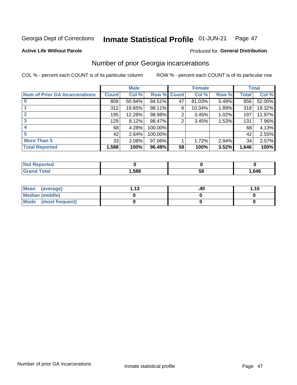#### Inmate Statistical Profile 01-JUN-21 Page 47

**Active Life Without Parole** 

### **Produced for General Distribution**

## Number of prior Georgia incarcerations

COL % - percent each COUNT is of its particular column

|                                       |                 | <b>Male</b> |         |              | <b>Female</b> |       |       | <b>Total</b> |
|---------------------------------------|-----------------|-------------|---------|--------------|---------------|-------|-------|--------------|
| <b>Num of Prior GA Incarcerations</b> | <b>Count</b>    | Col %       | Row %   | <b>Count</b> | Col %         | Row % | Total | Col %        |
|                                       | 809             | 50.94%      | 94.51%  | 47           | 81.03%        | 5.49% | 856   | 52.00%       |
|                                       | 312             | 19.65%      | 98.11%  | 6            | 10.34%        | 1.89% | 318   | 19.32%       |
|                                       | 195             | 12.28%      | 98.98%  | 2            | 3.45%         | 1.02% | 197   | 11.97%       |
| 3                                     | 129             | 8.12%       | 98.47%  | 2            | 3.45%         | 1.53% | 131   | 7.96%        |
|                                       | 68              | 4.28%       | 100.00% |              |               |       | 68    | 4.13%        |
| 5                                     | 42 <sup>1</sup> | 2.64%       | 100.00% |              |               |       | 42    | 2.55%        |
| <b>More Than 5</b>                    | 33              | 2.08%       | 97.06%  |              | 1.72%         | 2.94% | 34    | 2.07%        |
| <b>Total Reported</b>                 | 1,588           | 100%        | 96.48%  | 58           | 100%          | 3.52% | 1,646 | 100%         |

| <b>orted</b><br>NG               |      |    |       |
|----------------------------------|------|----|-------|
| <b>Total</b><br>$\mathbf{v}$ and | ,588 | ວເ | 1,646 |

| Mean (average)         | - 42<br>. | .40 | 1.10 |
|------------------------|-----------|-----|------|
| <b>Median (middle)</b> |           |     |      |
| Mode (most frequent)   |           |     |      |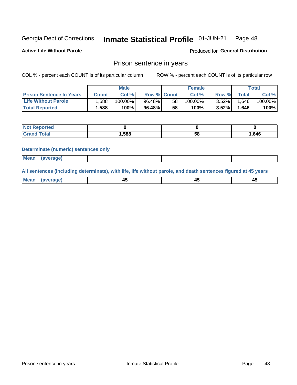#### Inmate Statistical Profile 01-JUN-21 Page 48

**Active Life Without Parole** 

Produced for General Distribution

## Prison sentence in years

COL % - percent each COUNT is of its particular column

ROW % - percent each COUNT is of its particular row

|                                 | <b>Male</b> |            |                    |                 | <b>Female</b> | Total    |             |         |
|---------------------------------|-------------|------------|--------------------|-----------------|---------------|----------|-------------|---------|
| <b>Prison Sentence In Years</b> | Count l     | Col %      | <b>Row % Count</b> |                 | Col %         | Row %    | $\tau$ otal | Col %   |
| <b>Life Without Parole</b>      | .588        | $100.00\%$ | 96.48%             | 58              | $100.00\%$    | $3.52\%$ | 1.646       | 100.00% |
| <b>Total Reported</b>           | .588        | 100%       | 96.48%             | 58 <sub>1</sub> | $100\%$       | 3.52%    | .646        | 100%    |

| Reported |      |    |      |
|----------|------|----|------|
|          | ,588 | 58 | .646 |

### **Determinate (numeric) sentences only**

| <b>Mean</b> | (average) |  |  |
|-------------|-----------|--|--|
|             |           |  |  |

All sentences (including determinate), with life, life without parole, and death sentences figured at 45 years

| Me<br>.<br> | -- | -- |  |
|-------------|----|----|--|
|             |    |    |  |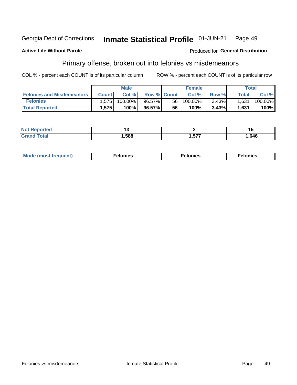#### **Georgia Dept of Corrections** Inmate Statistical Profile 01-JUN-21 Page 49

### **Active Life Without Parole**

### Produced for General Distribution

## Primary offense, broken out into felonies vs misdemeanors

COL % - percent each COUNT is of its particular column

|                                  | <b>Male</b>  |         |                    | <b>Female</b> |            |          | Total              |         |
|----------------------------------|--------------|---------|--------------------|---------------|------------|----------|--------------------|---------|
| <b>Felonies and Misdemeanors</b> | <b>Count</b> | Col%    | <b>Row % Count</b> |               | Col%       | Row %    | Total <sub>1</sub> | Col %   |
| <b>Felonies</b>                  | 1,575        | 100.00% | 96.57%             | 56 I          | $100.00\%$ | $3.43\%$ | 1,631              | 100.00% |
| <b>Total Reported</b>            | .575         | 100%    | 96.57%             | 56            | $100\%$    | 3.43%    | 1,631              | 100%    |

| <b>Not Reported</b>          |      |             | יי    |
|------------------------------|------|-------------|-------|
| <b>Total</b><br>Grand<br>uuu | ,588 | ドップ<br>' יש | .646، |

| Mode (most frequent)<br>elonies | Felonies | Felonies |
|---------------------------------|----------|----------|
|---------------------------------|----------|----------|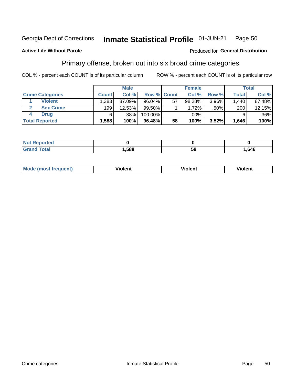#### Inmate Statistical Profile 01-JUN-21 **Georgia Dept of Corrections** Page 50

### **Active Life Without Parole**

### Produced for General Distribution

## Primary offense, broken out into six broad crime categories

COL % - percent each COUNT is of its particular column

|                         | <b>Male</b>  |        |                    |    | <b>Female</b> |       |              | <b>Total</b> |  |
|-------------------------|--------------|--------|--------------------|----|---------------|-------|--------------|--------------|--|
| <b>Crime Categories</b> | <b>Count</b> | Col%   | <b>Row % Count</b> |    | Col%          | Row % | <b>Total</b> | Col %        |  |
| <b>Violent</b>          | 1,383        | 87.09% | $96.04\%$          | 57 | 98.28%        | 3.96% | 1.440        | 87.48%       |  |
| <b>Sex Crime</b>        | 199          | 12.53% | $99.50\%$          |    | 1.72%         | .50%  | 200          | 12.15%       |  |
| Drua                    | 6            | .38%   | 100.00%            |    | .00%          |       | 6            | $.36\%$      |  |
| <b>Total Reported</b>   | 588.         | 100%   | 96.48%             | 58 | 100%          | 3.52% | 1,646        | 100%         |  |

| .588 | 58 | .646 |
|------|----|------|

| Mo<br>quenti | .<br>iolent<br>ΊΙ. | --<br>olent | .<br>'ent |
|--------------|--------------------|-------------|-----------|
|              |                    |             |           |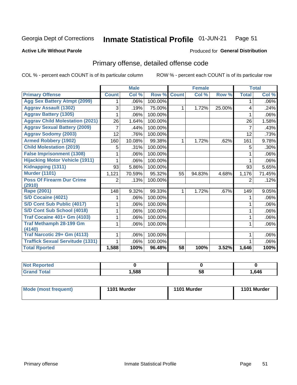#### Inmate Statistical Profile 01-JUN-21 Page 51

### **Active Life Without Parole**

### Produced for General Distribution

## Primary offense, detailed offense code

COL % - percent each COUNT is of its particular column

|                                         |                | <b>Male</b> |         |              | <b>Female</b> |        |              | <b>Total</b> |
|-----------------------------------------|----------------|-------------|---------|--------------|---------------|--------|--------------|--------------|
| <b>Primary Offense</b>                  | <b>Count</b>   | Col %       | Row %   | <b>Count</b> | Col %         | Row %  | <b>Total</b> | Col %        |
| <b>Agg Sex Battery Atmpt (2099)</b>     | 1              | .06%        | 100.00% |              |               |        | 1            | $.06\%$      |
| <b>Aggrav Assault (1302)</b>            | 3              | .19%        | 75.00%  | $\mathbf 1$  | 1.72%         | 25.00% | 4            | .24%         |
| <b>Aggrav Battery (1305)</b>            |                | .06%        | 100.00% |              |               |        |              | $.06\%$      |
| <b>Aggrav Child Molestation (2021)</b>  | 26             | 1.64%       | 100.00% |              |               |        | 26           | 1.58%        |
| <b>Aggrav Sexual Battery (2009)</b>     | 7              | .44%        | 100.00% |              |               |        | 7            | .43%         |
| <b>Aggrav Sodomy (2003)</b>             | 12             | .76%        | 100.00% |              |               |        | 12           | .73%         |
| <b>Armed Robbery (1902)</b>             | 160            | 10.08%      | 99.38%  | 1.           | 1.72%         | .62%   | 161          | 9.78%        |
| <b>Child Molestation (2019)</b>         | 5              | .31%        | 100.00% |              |               |        | 5            | .30%         |
| <b>False Imprisonment (1308)</b>        |                | .06%        | 100.00% |              |               |        | 1            | .06%         |
| <b>Hijacking Motor Vehicle (1911)</b>   |                | .06%        | 100.00% |              |               |        |              | .06%         |
| Kidnapping (1311)                       | 93             | 5.86%       | 100.00% |              |               |        | 93           | 5.65%        |
| <b>Murder (1101)</b>                    | 1,121          | 70.59%      | 95.32%  | 55           | 94.83%        | 4.68%  | 1,176        | 71.45%       |
| <b>Poss Of Firearm Dur Crime</b>        | $\overline{2}$ | .13%        | 100.00% |              |               |        | 2            | .12%         |
| (2910)                                  |                |             |         |              |               |        |              |              |
| Rape (2001)                             | 148            | 9.32%       | 99.33%  | 1.           | 1.72%         | .67%   | 149          | 9.05%        |
| S/D Cocaine (4021)                      |                | .06%        | 100.00% |              |               |        | 1            | .06%         |
| S/D Cont Sub Public (4017)              |                | .06%        | 100.00% |              |               |        |              | $.06\%$      |
| S/D Cont Sub School (4018)              | 1              | .06%        | 100.00% |              |               |        | 1            | $.06\%$      |
| <b>Traf Cocaine 401+ Gm (4103)</b>      |                | .06%        | 100.00% |              |               |        | 1            | $.06\%$      |
| <b>Traf Methamph 28-199 Gm</b>          | 1              | .06%        | 100.00% |              |               |        | 1            | $.06\%$      |
| (4140)                                  |                |             |         |              |               |        |              |              |
| Traf Narcotic 29+ Gm (4113)             |                | .06%        | 100.00% |              |               |        |              | .06%         |
| <b>Traffick Sexual Servitude (1331)</b> | 1.             | .06%        | 100.00% |              |               |        |              | .06%         |
| <b>Total Rported</b>                    | 1,588          | 100%        | 96.48%  | 58           | 100%          | 3.52%  | 1,646        | 100%         |

| <b>Not</b><br><b>orted</b><br>₹еос |      |    |      |
|------------------------------------|------|----|------|
| <b>Total</b><br>Croi               | ,588 | 58 | .646 |

| Mode (most frequent) | 1101 Murder | 1101 Murder | 1101 Murder |
|----------------------|-------------|-------------|-------------|
|----------------------|-------------|-------------|-------------|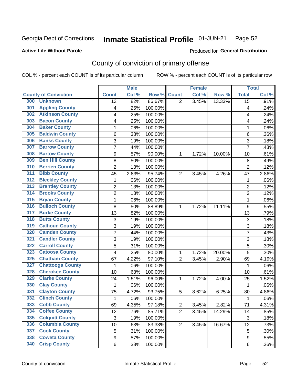#### Inmate Statistical Profile 01-JUN-21 Page 52

### **Active Life Without Parole**

### Produced for General Distribution

## County of conviction of primary offense

COL % - percent each COUNT is of its particular column

|                                |                  | <b>Male</b> |         |                | <b>Female</b> |        |                 | <b>Total</b> |
|--------------------------------|------------------|-------------|---------|----------------|---------------|--------|-----------------|--------------|
| <b>County of Conviction</b>    | <b>Count</b>     | Col %       | Row %   | <b>Count</b>   | Col %         | Row %  | <b>Total</b>    | Col %        |
| 000<br><b>Unknown</b>          | 13               | .82%        | 86.67%  | $\overline{2}$ | 3.45%         | 13.33% | $\overline{15}$ | .91%         |
| <b>Appling County</b><br>001   | 4                | .25%        | 100.00% |                |               |        | 4               | .24%         |
| <b>Atkinson County</b><br>002  | 4                | .25%        | 100.00% |                |               |        | 4               | .24%         |
| <b>Bacon County</b><br>003     | 4                | .25%        | 100.00% |                |               |        | 4               | .24%         |
| <b>Baker County</b><br>004     | 1                | .06%        | 100.00% |                |               |        | 1               | .06%         |
| <b>Baldwin County</b><br>005   | 6                | .38%        | 100.00% |                |               |        | 6               | .36%         |
| <b>Banks County</b><br>006     | 3                | .19%        | 100.00% |                |               |        | 3               | .18%         |
| <b>Barrow County</b><br>007    | 7                | .44%        | 100.00% |                |               |        | $\overline{7}$  | .43%         |
| <b>Bartow County</b><br>008    | 9                | .57%        | 90.00%  | 1              | 1.72%         | 10.00% | 10              | .61%         |
| <b>Ben Hill County</b><br>009  | 8                | .50%        | 100.00% |                |               |        | 8               | .49%         |
| <b>Berrien County</b><br>010   | $\overline{c}$   | .13%        | 100.00% |                |               |        | $\overline{2}$  | .12%         |
| <b>Bibb County</b><br>011      | 45               | 2.83%       | 95.74%  | $\overline{2}$ | 3.45%         | 4.26%  | 47              | 2.86%        |
| <b>Bleckley County</b><br>012  | 1                | .06%        | 100.00% |                |               |        | 1               | .06%         |
| <b>Brantley County</b><br>013  | $\overline{c}$   | .13%        | 100.00% |                |               |        | $\overline{2}$  | .12%         |
| <b>Brooks County</b><br>014    | $\overline{c}$   | .13%        | 100.00% |                |               |        | $\overline{2}$  | .12%         |
| <b>Bryan County</b><br>015     | 1                | .06%        | 100.00% |                |               |        | 1               | .06%         |
| <b>Bulloch County</b><br>016   | 8                | .50%        | 88.89%  | 1              | 1.72%         | 11.11% | 9               | .55%         |
| <b>Burke County</b><br>017     | 13               | .82%        | 100.00% |                |               |        | 13              | .79%         |
| <b>Butts County</b><br>018     | 3                | .19%        | 100.00% |                |               |        | 3               | .18%         |
| <b>Calhoun County</b><br>019   | 3                | .19%        | 100.00% |                |               |        | 3               | .18%         |
| <b>Camden County</b><br>020    | $\overline{7}$   | .44%        | 100.00% |                |               |        | $\overline{7}$  | .43%         |
| <b>Candler County</b><br>021   | 3                | .19%        | 100.00% |                |               |        | 3               | .18%         |
| <b>Carroll County</b><br>022   | 5                | .31%        | 100.00% |                |               |        | 5               | .30%         |
| <b>Catoosa County</b><br>023   | 4                | .25%        | 80.00%  | 1              | 1.72%         | 20.00% | 5               | .30%         |
| <b>Chatham County</b><br>025   | 67               | 4.22%       | 97.10%  | $\overline{2}$ | 3.45%         | 2.90%  | 69              | 4.19%        |
| <b>Chattooga County</b><br>027 | 1                | .06%        | 100.00% |                |               |        | 1               | .06%         |
| <b>Cherokee County</b><br>028  | 10               | .63%        | 100.00% |                |               |        | 10              | .61%         |
| <b>Clarke County</b><br>029    | 24               | 1.51%       | 96.00%  | 1              | 1.72%         | 4.00%  | 25              | 1.52%        |
| <b>Clay County</b><br>030      | 1                | .06%        | 100.00% |                |               |        | 1               | .06%         |
| <b>Clayton County</b><br>031   | 75               | 4.72%       | 93.75%  | 5              | 8.62%         | 6.25%  | 80              | 4.86%        |
| <b>Clinch County</b><br>032    | 1                | .06%        | 100.00% |                |               |        | 1               | .06%         |
| 033<br><b>Cobb County</b>      | 69               | 4.35%       | 97.18%  | $\overline{c}$ | 3.45%         | 2.82%  | 71              | 4.31%        |
| <b>Coffee County</b><br>034    | 12               | .76%        | 85.71%  | $\overline{2}$ | 3.45%         | 14.29% | 14              | .85%         |
| <b>Colquitt County</b><br>035  | $\sqrt{3}$       | .19%        | 100.00% |                |               |        | 3               | .18%         |
| <b>Columbia County</b><br>036  | 10               | .63%        | 83.33%  | $\overline{2}$ | 3.45%         | 16.67% | 12              | .73%         |
| <b>Cook County</b><br>037      | 5                | .31%        | 100.00% |                |               |        | 5               | .30%         |
| <b>Coweta County</b><br>038    | $\boldsymbol{9}$ | .57%        | 100.00% |                |               |        | 9               | .55%         |
| <b>Crisp County</b><br>040     | 6                | .38%        | 100.00% |                |               |        | 6               | .36%         |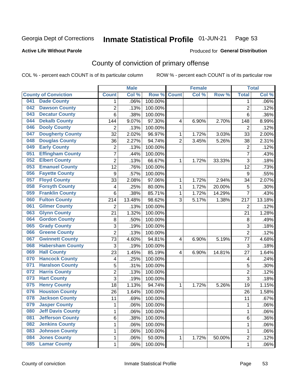#### Inmate Statistical Profile 01-JUN-21 Page 53

### **Active Life Without Parole**

### Produced for General Distribution

## County of conviction of primary offense

COL % - percent each COUNT is of its particular column

|     |                             |                  | <b>Male</b> |         |                | <b>Female</b> |        |                | <b>Total</b> |
|-----|-----------------------------|------------------|-------------|---------|----------------|---------------|--------|----------------|--------------|
|     | <b>County of Conviction</b> | <b>Count</b>     | Col %       | Row %   | <b>Count</b>   | Col %         | Row %  | <b>Total</b>   | Col %        |
| 041 | <b>Dade County</b>          | 1                | .06%        | 100.00% |                |               |        | 1              | .06%         |
| 042 | <b>Dawson County</b>        | $\overline{2}$   | .13%        | 100.00% |                |               |        | $\overline{2}$ | .12%         |
| 043 | <b>Decatur County</b>       | 6                | .38%        | 100.00% |                |               |        | 6              | .36%         |
| 044 | <b>Dekalb County</b>        | 144              | 9.07%       | 97.30%  | 4              | 6.90%         | 2.70%  | 148            | 8.99%        |
| 046 | <b>Dooly County</b>         | $\overline{2}$   | .13%        | 100.00% |                |               |        | $\overline{2}$ | .12%         |
| 047 | <b>Dougherty County</b>     | 32               | 2.02%       | 96.97%  | 1              | 1.72%         | 3.03%  | 33             | 2.00%        |
| 048 | <b>Douglas County</b>       | 36               | 2.27%       | 94.74%  | $\overline{2}$ | 3.45%         | 5.26%  | 38             | 2.31%        |
| 049 | <b>Early County</b>         | 2                | .13%        | 100.00% |                |               |        | $\overline{2}$ | .12%         |
| 051 | <b>Effingham County</b>     | 7                | .44%        | 100.00% |                |               |        | $\overline{7}$ | .43%         |
| 052 | <b>Elbert County</b>        | $\overline{2}$   | .13%        | 66.67%  | 1              | 1.72%         | 33.33% | 3              | .18%         |
| 053 | <b>Emanuel County</b>       | 12               | .76%        | 100.00% |                |               |        | 12             | .73%         |
| 056 | <b>Fayette County</b>       | $\boldsymbol{9}$ | .57%        | 100.00% |                |               |        | 9              | .55%         |
| 057 | <b>Floyd County</b>         | 33               | 2.08%       | 97.06%  | $\mathbf{1}$   | 1.72%         | 2.94%  | 34             | 2.07%        |
| 058 | <b>Forsyth County</b>       | 4                | .25%        | 80.00%  | 1              | 1.72%         | 20.00% | 5              | .30%         |
| 059 | <b>Franklin County</b>      | 6                | .38%        | 85.71%  | 1              | 1.72%         | 14.29% | $\overline{7}$ | .43%         |
| 060 | <b>Fulton County</b>        | 214              | 13.48%      | 98.62%  | 3              | 5.17%         | 1.38%  | 217            | 13.18%       |
| 061 | <b>Gilmer County</b>        | $\overline{2}$   | .13%        | 100.00% |                |               |        | $\overline{2}$ | .12%         |
| 063 | <b>Glynn County</b>         | 21               | 1.32%       | 100.00% |                |               |        | 21             | 1.28%        |
| 064 | <b>Gordon County</b>        | 8                | .50%        | 100.00% |                |               |        | 8              | .49%         |
| 065 | <b>Grady County</b>         | 3                | .19%        | 100.00% |                |               |        | 3              | .18%         |
| 066 | <b>Greene County</b>        | $\overline{2}$   | .13%        | 100.00% |                |               |        | $\overline{2}$ | .12%         |
| 067 | <b>Gwinnett County</b>      | 73               | 4.60%       | 94.81%  | 4              | 6.90%         | 5.19%  | 77             | 4.68%        |
| 068 | <b>Habersham County</b>     | 3                | .19%        | 100.00% |                |               |        | 3              | .18%         |
| 069 | <b>Hall County</b>          | 23               | 1.45%       | 85.19%  | 4              | 6.90%         | 14.81% | 27             | 1.64%        |
| 070 | <b>Hancock County</b>       | 4                | .25%        | 100.00% |                |               |        | 4              | .24%         |
| 071 | <b>Haralson County</b>      | 5                | .31%        | 100.00% |                |               |        | 5              | .30%         |
| 072 | <b>Harris County</b>        | $\overline{2}$   | .13%        | 100.00% |                |               |        | $\overline{2}$ | .12%         |
| 073 | <b>Hart County</b>          | 3                | .19%        | 100.00% |                |               |        | $\overline{3}$ | .18%         |
| 075 | <b>Henry County</b>         | 18               | 1.13%       | 94.74%  | $\mathbf{1}$   | 1.72%         | 5.26%  | 19             | 1.15%        |
| 076 | <b>Houston County</b>       | 26               | 1.64%       | 100.00% |                |               |        | 26             | 1.58%        |
| 078 | <b>Jackson County</b>       | 11               | .69%        | 100.00% |                |               |        | 11             | .67%         |
| 079 | <b>Jasper County</b>        | 1                | .06%        | 100.00% |                |               |        | 1              | .06%         |
| 080 | <b>Jeff Davis County</b>    | 1                | .06%        | 100.00% |                |               |        | $\mathbf{1}$   | .06%         |
| 081 | <b>Jefferson County</b>     | 6                | .38%        | 100.00% |                |               |        | 6              | .36%         |
| 082 | <b>Jenkins County</b>       | 1                | .06%        | 100.00% |                |               |        | 1              | .06%         |
| 083 | <b>Johnson County</b>       | 1                | .06%        | 100.00% |                |               |        | 1              | .06%         |
| 084 | <b>Jones County</b>         | 1                | .06%        | 50.00%  | $\mathbf{1}$   | 1.72%         | 50.00% | $\overline{c}$ | .12%         |
| 085 | <b>Lamar County</b>         | $\mathbf 1$      | .06%        | 100.00% |                |               |        | $\mathbf 1$    | .06%         |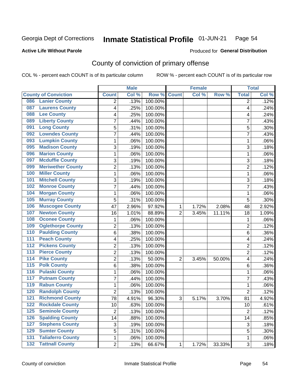#### Inmate Statistical Profile 01-JUN-21 Page 54

### **Active Life Without Parole**

## **Produced for General Distribution**

## County of conviction of primary offense

COL % - percent each COUNT is of its particular column

|                  |                             |                 | <b>Male</b> |                  |                | <b>Female</b> |        | <b>Total</b>   |       |
|------------------|-----------------------------|-----------------|-------------|------------------|----------------|---------------|--------|----------------|-------|
|                  | <b>County of Conviction</b> | <b>Count</b>    | Col %       | Row <sup>%</sup> | <b>Count</b>   | Col %         | Row %  | <b>Total</b>   | Col % |
| 086              | <b>Lanier County</b>        | 2               | .13%        | 100.00%          |                |               |        | 2              | .12%  |
| 087              | <b>Laurens County</b>       | 4               | .25%        | 100.00%          |                |               |        | 4              | .24%  |
| 088              | <b>Lee County</b>           | 4               | .25%        | 100.00%          |                |               |        | 4              | .24%  |
| 089              | <b>Liberty County</b>       | $\overline{7}$  | .44%        | 100.00%          |                |               |        | $\overline{7}$ | .43%  |
| 091              | <b>Long County</b>          | 5               | .31%        | 100.00%          |                |               |        | 5              | .30%  |
| 092              | <b>Lowndes County</b>       | 7               | .44%        | 100.00%          |                |               |        | $\overline{7}$ | .43%  |
| 093              | <b>Lumpkin County</b>       | 1               | .06%        | 100.00%          |                |               |        | 1              | .06%  |
| 095              | <b>Madison County</b>       | 3               | .19%        | 100.00%          |                |               |        | 3              | .18%  |
| 096              | <b>Marion County</b>        | 1               | .06%        | 100.00%          |                |               |        | 1              | .06%  |
| 097              | <b>Mcduffie County</b>      | 3               | .19%        | 100.00%          |                |               |        | 3              | .18%  |
| 099              | <b>Meriwether County</b>    | $\overline{2}$  | .13%        | 100.00%          |                |               |        | $\overline{2}$ | .12%  |
| 100              | <b>Miller County</b>        | 1               | .06%        | 100.00%          |                |               |        | $\mathbf{1}$   | .06%  |
| 101              | <b>Mitchell County</b>      | 3               | .19%        | 100.00%          |                |               |        | 3              | .18%  |
| 102              | <b>Monroe County</b>        | 7               | .44%        | 100.00%          |                |               |        | $\overline{7}$ | .43%  |
| 104              | <b>Morgan County</b>        | 1               | .06%        | 100.00%          |                |               |        | 1              | .06%  |
| 105              | <b>Murray County</b>        | 5               | .31%        | 100.00%          |                |               |        | 5              | .30%  |
| 106              | <b>Muscogee County</b>      | 47              | 2.96%       | 97.92%           | 1              | 1.72%         | 2.08%  | 48             | 2.92% |
| 107              | <b>Newton County</b>        | 16              | 1.01%       | 88.89%           | $\overline{2}$ | 3.45%         | 11.11% | 18             | 1.09% |
| 108              | <b>Oconee County</b>        | 1               | .06%        | 100.00%          |                |               |        | 1              | .06%  |
| 109              | <b>Oglethorpe County</b>    | $\overline{2}$  | .13%        | 100.00%          |                |               |        | $\overline{2}$ | .12%  |
| 110              | <b>Paulding County</b>      | 6               | .38%        | 100.00%          |                |               |        | 6              | .36%  |
| 111              | <b>Peach County</b>         | 4               | .25%        | 100.00%          |                |               |        | 4              | .24%  |
| $\overline{112}$ | <b>Pickens County</b>       | $\overline{2}$  | .13%        | 100.00%          |                |               |        | $\overline{2}$ | .12%  |
| $\overline{113}$ | <b>Pierce County</b>        | $\overline{2}$  | .13%        | 100.00%          |                |               |        | $\overline{2}$ | .12%  |
| 114              | <b>Pike County</b>          | 2               | .13%        | 50.00%           | $\overline{2}$ | 3.45%         | 50.00% | 4              | .24%  |
| $\overline{115}$ | <b>Polk County</b>          | 6               | .38%        | 100.00%          |                |               |        | 6              | .36%  |
| $\overline{116}$ | <b>Pulaski County</b>       | 1               | .06%        | 100.00%          |                |               |        | 1              | .06%  |
| 117              | <b>Putnam County</b>        | $\overline{7}$  | .44%        | 100.00%          |                |               |        | $\overline{7}$ | .43%  |
| 119              | <b>Rabun County</b>         | 1               | .06%        | 100.00%          |                |               |        | 1              | .06%  |
| 120              | <b>Randolph County</b>      | $\overline{2}$  | .13%        | 100.00%          |                |               |        | $\overline{2}$ | .12%  |
| 121              | <b>Richmond County</b>      | 78              | 4.91%       | 96.30%           | 3              | 5.17%         | 3.70%  | 81             | 4.92% |
| 122              | <b>Rockdale County</b>      | $\overline{10}$ | .63%        | 100.00%          |                |               |        | 10             | .61%  |
| 125              | <b>Seminole County</b>      | $\overline{2}$  | .13%        | 100.00%          |                |               |        | $\overline{2}$ | .12%  |
| $\overline{126}$ | <b>Spalding County</b>      | 14              | .88%        | 100.00%          |                |               |        | 14             | .85%  |
| 127              | <b>Stephens County</b>      | 3               | .19%        | 100.00%          |                |               |        | 3              | .18%  |
| 129              | <b>Sumter County</b>        | 5               | .31%        | 100.00%          |                |               |        | $\overline{5}$ | .30%  |
| 131              | <b>Taliaferro County</b>    | 1               | .06%        | 100.00%          |                |               |        | 1              | .06%  |
|                  | <b>132 Tattnall County</b>  | $\overline{2}$  | .13%        | 66.67%           | 1              | 1.72%         | 33.33% | 3              | .18%  |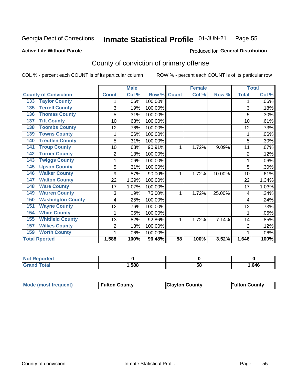#### Inmate Statistical Profile 01-JUN-21 Page 55

**Active Life Without Parole** 

Produced for General Distribution

## County of conviction of primary offense

COL % - percent each COUNT is of its particular column

|                                 |              | <b>Male</b> |         |                 | <b>Female</b> |        |                | <b>Total</b> |
|---------------------------------|--------------|-------------|---------|-----------------|---------------|--------|----------------|--------------|
| <b>County of Conviction</b>     | <b>Count</b> | Col %       | Row %   | <b>Count</b>    | Col %         | Row %  | <b>Total</b>   | Col %        |
| <b>133 Taylor County</b>        |              | .06%        | 100.00% |                 |               |        |                | .06%         |
| <b>Terrell County</b><br>135    | 3            | .19%        | 100.00% |                 |               |        | 3              | .18%         |
| <b>Thomas County</b><br>136     | 5            | .31%        | 100.00% |                 |               |        | 5              | .30%         |
| <b>Tift County</b><br>137       | 10           | .63%        | 100.00% |                 |               |        | 10             | .61%         |
| <b>Toombs County</b><br>138     | 12           | .76%        | 100.00% |                 |               |        | 12             | .73%         |
| <b>Towns County</b><br>139      |              | .06%        | 100.00% |                 |               |        |                | .06%         |
| <b>Treutlen County</b><br>140   | 5            | .31%        | 100.00% |                 |               |        | 5              | .30%         |
| <b>Troup County</b><br>141      | 10           | .63%        | 90.91%  | 1               | 1.72%         | 9.09%  | 11             | .67%         |
| <b>Turner County</b><br>142     | 2            | .13%        | 100.00% |                 |               |        | 2              | .12%         |
| <b>Twiggs County</b><br>143     | 1            | .06%        | 100.00% |                 |               |        |                | .06%         |
| <b>Upson County</b><br>145      | 5            | .31%        | 100.00% |                 |               |        | 5              | .30%         |
| <b>Walker County</b><br>146     | 9            | .57%        | 90.00%  | 1               | 1.72%         | 10.00% | 10             | .61%         |
| <b>Walton County</b><br>147     | 22           | 1.39%       | 100.00% |                 |               |        | 22             | 1.34%        |
| <b>Ware County</b><br>148       | 17           | 1.07%       | 100.00% |                 |               |        | 17             | 1.03%        |
| <b>Warren County</b><br>149     | 3            | .19%        | 75.00%  |                 | 1.72%         | 25.00% | 4              | .24%         |
| <b>Washington County</b><br>150 | 4            | .25%        | 100.00% |                 |               |        | 4              | .24%         |
| <b>Wayne County</b><br>151      | 12           | .76%        | 100.00% |                 |               |        | 12             | .73%         |
| <b>White County</b><br>154      | 1            | .06%        | 100.00% |                 |               |        | 1              | .06%         |
| <b>Whitfield County</b><br>155  | 13           | .82%        | 92.86%  | 1               | 1.72%         | 7.14%  | 14             | .85%         |
| <b>Wilkes County</b><br>157     | 2            | .13%        | 100.00% |                 |               |        | $\overline{2}$ | .12%         |
| <b>Worth County</b><br>159      | 1            | .06%        | 100.00% |                 |               |        |                | .06%         |
| <b>Total Rported</b>            | 1,588        | 100%        | 96.48%  | $\overline{58}$ | 100%          | 3.52%  | 1,646          | 100%         |

| тес.   |      |    |      |
|--------|------|----|------|
| $\sim$ | ,588 | ວດ | .646 |

| Mode (most frequent) | <b>Fulton County</b> | <b>Clayton County</b> | <b>Fulton County</b> |
|----------------------|----------------------|-----------------------|----------------------|
|----------------------|----------------------|-----------------------|----------------------|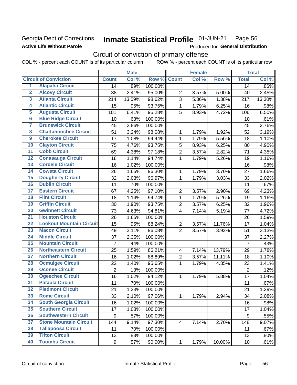## **Georgia Dept of Corrections Active Life Without Parole**

### Inmate Statistical Profile 01-JUN-21 Page 56

Produced for General Distribution

## Circuit of conviction of primary offense

COL % - percent each COUNT is of its particular column ROW % - percent each COUNT is of its particular row

|                         |                                 | <b>Male</b>    |        | <b>Female</b> |                         |       | <b>Total</b> |                 |        |
|-------------------------|---------------------------------|----------------|--------|---------------|-------------------------|-------|--------------|-----------------|--------|
|                         | <b>Circuit of Conviction</b>    | <b>Count</b>   | Col %  | Row %         | <b>Count</b>            | Col % | Row %        | <b>Total</b>    | Col %  |
| 1                       | <b>Alapaha Circuit</b>          | 14             | .89%   | 100.00%       |                         |       |              | 14              | .86%   |
| $\overline{2}$          | <b>Alcovy Circuit</b>           | 38             | 2.41%  | 95.00%        | $\overline{2}$          | 3.57% | 5.00%        | 40              | 2.45%  |
| $\overline{\mathbf{3}}$ | <b>Atlanta Circuit</b>          | 214            | 13.59% | 98.62%        | 3                       | 5.36% | 1.38%        | 217             | 13.30% |
| 4                       | <b>Atlantic Circuit</b>         | 15             | .95%   | 93.75%        | $\mathbf{1}$            | 1.79% | 6.25%        | 16              | .98%   |
| $\overline{5}$          | <b>Augusta Circuit</b>          | 101            | 6.41%  | 95.28%        | 5                       | 8.93% | 4.72%        | 106             | 6.50%  |
| $\overline{6}$          | <b>Blue Ridge Circuit</b>       | 10             | .63%   | 100.00%       |                         |       |              | 10              | .61%   |
| 7                       | <b>Brunswick Circuit</b>        | 45             | 2.86%  | 100.00%       |                         |       |              | 45              | 2.76%  |
| 8                       | <b>Chattahoochee Circuit</b>    | 51             | 3.24%  | 98.08%        | 1                       | 1.79% | 1.92%        | 52              | 3.19%  |
| $\overline{9}$          | <b>Cherokee Circuit</b>         | 17             | 1.08%  | 94.44%        | 1                       | 1.79% | 5.56%        | 18              | 1.10%  |
| 10                      | <b>Clayton Circuit</b>          | 75             | 4.76%  | 93.75%        | 5                       | 8.93% | 6.25%        | 80              | 4.90%  |
| $\overline{11}$         | <b>Cobb Circuit</b>             | 69             | 4.38%  | 97.18%        | $\overline{2}$          | 3.57% | 2.82%        | 71              | 4.35%  |
| $\overline{12}$         | <b>Conasauga Circuit</b>        | 18             | 1.14%  | 94.74%        | $\mathbf{1}$            | 1.79% | 5.26%        | 19              | 1.16%  |
| $\overline{13}$         | <b>Cordele Circuit</b>          | 16             | 1.02%  | 100.00%       |                         |       |              | 16              | .98%   |
| $\overline{14}$         | <b>Coweta Circuit</b>           | 26             | 1.65%  | 96.30%        | $\mathbf{1}$            | 1.79% | 3.70%        | 27              | 1.66%  |
| $\overline{15}$         | <b>Dougherty Circuit</b>        | 32             | 2.03%  | 96.97%        | $\mathbf{1}$            | 1.79% | 3.03%        | 33              | 2.02%  |
| 16                      | <b>Dublin Circuit</b>           | 11             | .70%   | 100.00%       |                         |       |              | 11              | .67%   |
| $\overline{17}$         | <b>Eastern Circuit</b>          | 67             | 4.25%  | 97.10%        | $\overline{2}$          | 3.57% | 2.90%        | 69              | 4.23%  |
| $\overline{18}$         | <b>Flint Circuit</b>            | 18             | 1.14%  | 94.74%        | $\mathbf{1}$            | 1.79% | 5.26%        | 19              | 1.16%  |
| 19                      | <b>Griffin Circuit</b>          | 30             | 1.90%  | 93.75%        | $\overline{2}$          | 3.57% | 6.25%        | 32              | 1.96%  |
| 20                      | <b>Gwinnett Circuit</b>         | 73             | 4.63%  | 94.81%        | $\overline{4}$          | 7.14% | 5.19%        | 77              | 4.72%  |
| $\overline{21}$         | <b>Houston Circuit</b>          | 26             | 1.65%  | 100.00%       |                         |       |              | 26              | 1.59%  |
| $\overline{22}$         | <b>Lookout Mountain Circuit</b> | 15             | .95%   | 88.24%        | $\overline{2}$          | 3.57% | 11.76%       | 17              | 1.04%  |
| 23                      | <b>Macon Circuit</b>            | 49             | 3.11%  | 96.08%        | $\overline{2}$          | 3.57% | 3.92%        | 51              | 3.13%  |
| $\overline{24}$         | <b>Middle Circuit</b>           | 37             | 2.35%  | 100.00%       |                         |       |              | 37              | 2.27%  |
| $\overline{25}$         | <b>Mountain Circuit</b>         | $\overline{7}$ | .44%   | 100.00%       |                         |       |              | $\overline{7}$  | .43%   |
| 26                      | <b>Northeastern Circuit</b>     | 25             | 1.59%  | 86.21%        | $\overline{\mathbf{4}}$ | 7.14% | 13.79%       | 29              | 1.78%  |
| $\overline{27}$         | <b>Northern Circuit</b>         | 16             | 1.02%  | 88.89%        | $\overline{2}$          | 3.57% | 11.11%       | 18              | 1.10%  |
| 28                      | <b>Ocmulgee Circuit</b>         | 22             | 1.40%  | 95.65%        | $\mathbf{1}$            | 1.79% | 4.35%        | 23              | 1.41%  |
| 29                      | <b>Oconee Circuit</b>           | $\overline{2}$ | .13%   | 100.00%       |                         |       |              | $\overline{2}$  | .12%   |
| 30                      | <b>Ogeechee Circuit</b>         | 16             | 1.02%  | 94.12%        | $\mathbf 1$             | 1.79% | 5.88%        | 17              | 1.04%  |
| $\overline{31}$         | <b>Pataula Circuit</b>          | 11             | .70%   | 100.00%       |                         |       |              | 11              | .67%   |
| 32                      | <b>Piedmont Circuit</b>         | 21             | 1.33%  | 100.00%       |                         |       |              | 21              | 1.29%  |
| 33                      | <b>Rome Circuit</b>             | 33             | 2.10%  | 97.06%        | $\mathbf 1$             | 1.79% | 2.94%        | 34              | 2.08%  |
| 34                      | <b>South Georgia Circuit</b>    | 16             | 1.02%  | 100.00%       |                         |       |              | 16              | .98%   |
| 35                      | <b>Southern Circuit</b>         | 17             | 1.08%  | 100.00%       |                         |       |              | 17              | 1.04%  |
| 36                      | <b>Southwestern Circuit</b>     | 9              | .57%   | 100.00%       |                         |       |              | 9               | .55%   |
| 37                      | <b>Stone Mountain Circuit</b>   | 144            | 9.14%  | 97.30%        | 4                       | 7.14% | 2.70%        | 148             | 9.07%  |
| 38                      | <b>Tallapoosa Circuit</b>       | 11             | .70%   | 100.00%       |                         |       |              | 11              | .67%   |
| 39                      | <b>Tifton Circuit</b>           | 13             | .83%   | 100.00%       |                         |       |              | 13              | .80%   |
| 40                      | <b>Toombs Circuit</b>           | 9              | .57%   | 90.00%        | $\mathbf{1}$            | 1.79% | 10.00%       | 10 <sub>1</sub> | .61%   |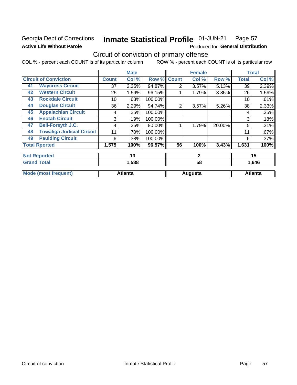## **Georgia Dept of Corrections Active Life Without Parole**

### Inmate Statistical Profile 01-JUN-21 Page 57

Produced for General Distribution

## Circuit of conviction of primary offense

COL % - percent each COUNT is of its particular column ROW % - percent each COUNT is of its particular row

|    |                                  |              | <b>Male</b>    |         |                | <b>Female</b> |        |              | <b>Total</b>   |
|----|----------------------------------|--------------|----------------|---------|----------------|---------------|--------|--------------|----------------|
|    | <b>Circuit of Conviction</b>     | <b>Count</b> | Col %          | Row %   | <b>Count</b>   | Col %         | Row %  | <b>Total</b> | Col %          |
| 41 | <b>Waycross Circuit</b>          | 37           | 2.35%          | 94.87%  | $\overline{2}$ | 3.57%         | 5.13%  | 39           | 2.39%          |
| 42 | <b>Western Circuit</b>           | 25           | 1.59%          | 96.15%  |                | 1.79%         | 3.85%  | 26           | 1.59%          |
| 43 | <b>Rockdale Circuit</b>          | 10           | .63%           | 100.00% |                |               |        | 10           | .61%           |
| 44 | <b>Douglas Circuit</b>           | 36           | 2.29%          | 94.74%  | 2              | 3.57%         | 5.26%  | 38           | 2.33%          |
| 45 | <b>Appalachian Circuit</b>       | 4            | .25%           | 100.00% |                |               |        | 4            | .25%           |
| 46 | <b>Enotah Circuit</b>            | 3            | .19%           | 100.00% |                |               |        | 3            | .18%           |
| 47 | <b>Bell-Forsyth J.C.</b>         | 4            | .25%           | 80.00%  |                | 1.79%         | 20.00% | 5            | .31%           |
| 48 | <b>Towaliga Judicial Circuit</b> | 11           | .70%           | 100.00% |                |               |        | 11           | .67%           |
| 49 | <b>Paulding Circuit</b>          | 6            | .38%           | 100.00% |                |               |        | 6            | .37%           |
|    | <b>Total Rported</b>             | 1,575        | 100%           | 96.57%  | 56             | 100%          | 3.43%  | 1,631        | 100%           |
|    | <b>Not Reported</b>              |              | 13             |         |                | $\mathbf{2}$  |        |              | 15             |
|    | <b>Grand Total</b>               |              | 1,588          |         | 58<br>1,646    |               |        |              |                |
|    | <b>Mode (most frequent)</b>      |              | <b>Atlanta</b> |         |                | Augusta       |        |              | <b>Atlanta</b> |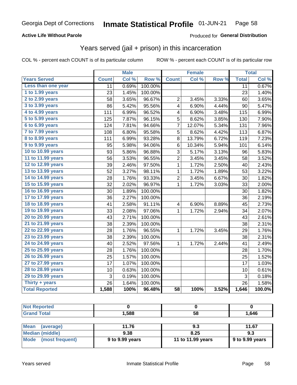## **Active Life Without Parole**

### Produced for General Distribution

## Years served (jail + prison) in this incarceration

COL % - percent each COUNT is of its particular column

|                       | <b>Male</b>  |       | <b>Female</b>    |                         |        | <b>Total</b> |                 |        |
|-----------------------|--------------|-------|------------------|-------------------------|--------|--------------|-----------------|--------|
| <b>Years Served</b>   | <b>Count</b> | Col % | Row <sup>%</sup> | <b>Count</b>            | Col %  | Row %        | <b>Total</b>    | Col %  |
| Less than one year    | 11           | 0.69% | 100.00%          |                         |        |              | $\overline{11}$ | 0.67%  |
| 1 to 1.99 years       | 23           | 1.45% | 100.00%          |                         |        |              | 23              | 1.40%  |
| 2 to 2.99 years       | 58           | 3.65% | 96.67%           | $\overline{2}$          | 3.45%  | 3.33%        | 60              | 3.65%  |
| 3 to 3.99 years       | 86           | 5.42% | 95.56%           | 4                       | 6.90%  | 4.44%        | 90              | 5.47%  |
| 4 to 4.99 years       | 111          | 6.99% | 96.52%           | 4                       | 6.90%  | 3.48%        | 115             | 6.99%  |
| 5 to 5.99 years       | 125          | 7.87% | 96.15%           | 5                       | 8.62%  | 3.85%        | 130             | 7.90%  |
| 6 to 6.99 years       | 124          | 7.81% | 94.66%           | 7                       | 12.07% | 5.34%        | 131             | 7.96%  |
| 7 to 7.99 years       | 108          | 6.80% | 95.58%           | 5                       | 8.62%  | 4.42%        | 113             | 6.87%  |
| 8 to 8.99 years       | 111          | 6.99% | 93.28%           | 8                       | 13.79% | 6.72%        | 119             | 7.23%  |
| 9 to 9.99 years       | 95           | 5.98% | 94.06%           | 6                       | 10.34% | 5.94%        | 101             | 6.14%  |
| 10 to 10.99 years     | 93           | 5.86% | 96.88%           | 3                       | 5.17%  | 3.13%        | 96              | 5.83%  |
| 11 to 11.99 years     | 56           | 3.53% | 96.55%           | $\overline{2}$          | 3.45%  | 3.45%        | 58              | 3.52%  |
| 12 to 12.99 years     | 39           | 2.46% | 97.50%           | 1                       | 1.72%  | 2.50%        | 40              | 2.43%  |
| 13 to 13.99 years     | 52           | 3.27% | 98.11%           | $\mathbf{1}$            | 1.72%  | 1.89%        | 53              | 3.22%  |
| 14 to 14.99 years     | 28           | 1.76% | 93.33%           | $\overline{\mathbf{c}}$ | 3.45%  | 6.67%        | 30              | 1.82%  |
| 15 to 15.99 years     | 32           | 2.02% | 96.97%           | $\mathbf 1$             | 1.72%  | 3.03%        | 33              | 2.00%  |
| 16 to 16.99 years     | 30           | 1.89% | 100.00%          |                         |        |              | 30              | 1.82%  |
| 17 to 17.99 years     | 36           | 2.27% | 100.00%          |                         |        |              | 36              | 2.19%  |
| 18 to 18.99 years     | 41           | 2.58% | 91.11%           | $\overline{\mathbf{4}}$ | 6.90%  | 8.89%        | 45              | 2.73%  |
| 19 to 19.99 years     | 33           | 2.08% | 97.06%           | 1                       | 1.72%  | 2.94%        | 34              | 2.07%  |
| 20 to 20.99 years     | 43           | 2.71% | 100.00%          |                         |        |              | 43              | 2.61%  |
| 21 to 21.99 years     | 38           | 2.39% | 100.00%          |                         |        |              | 38              | 2.31%  |
| 22 to 22.99 years     | 28           | 1.76% | 96.55%           | 1                       | 1.72%  | 3.45%        | 29              | 1.76%  |
| 23 to 23.99 years     | 38           | 2.39% | 100.00%          |                         |        |              | 38              | 2.31%  |
| 24 to 24.99 years     | 40           | 2.52% | 97.56%           | 1                       | 1.72%  | 2.44%        | 41              | 2.49%  |
| 25 to 25.99 years     | 28           | 1.76% | 100.00%          |                         |        |              | 28              | 1.70%  |
| 26 to 26.99 years     | 25           | 1.57% | 100.00%          |                         |        |              | 25              | 1.52%  |
| 27 to 27.99 years     | 17           | 1.07% | 100.00%          |                         |        |              | 17              | 1.03%  |
| 28 to 28.99 years     | 10           | 0.63% | 100.00%          |                         |        |              | 10              | 0.61%  |
| 29 to 29.99 years     | 3            | 0.19% | 100.00%          |                         |        |              | 3               | 0.18%  |
| Thirty + years        | 26           | 1.64% | 100.00%          |                         |        |              | 26              | 1.58%  |
| <b>Total Reported</b> | 1,588        | 100%  | 96.48%           | $\overline{58}$         | 100%   | 3.52%        | 1,646           | 100.0% |

| <b>Not Reported</b> |       |    |       |
|---------------------|-------|----|-------|
| <b>Grand Total</b>  | 1,588 | 58 | 1,646 |
|                     |       |    |       |

| Mean<br>(average)    | 11.76           | 9.3               | 11.67                   |
|----------------------|-----------------|-------------------|-------------------------|
| Median (middle)      | 9.38            | 8.25              | 9.3                     |
| Mode (most frequent) | 9 to 9.99 years | 11 to 11.99 years | $\vert$ 9 to 9.99 years |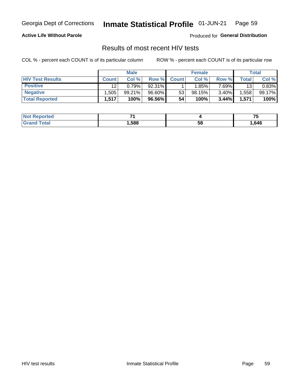#### Inmate Statistical Profile 01-JUN-21 Page 59

### **Active Life Without Parole**

Produced for General Distribution

## Results of most recent HIV tests

COL % - percent each COUNT is of its particular column

|                         | <b>Male</b>  |        |        | <b>Female</b> |        |          | Total |        |
|-------------------------|--------------|--------|--------|---------------|--------|----------|-------|--------|
| <b>HIV Test Results</b> | <b>Count</b> | Col %  | Row %I | <b>Count</b>  | Col %  | Row %    | Total | Col %  |
| <b>Positive</b>         | 12           | 0.79%  | 92.31% |               | 1.85%  | $7.69\%$ | 13    | 0.83%  |
| <b>Negative</b>         | .505         | 99.21% | 96.60% | 53            | 98.15% | $3.40\%$ | .558  | 99.17% |
| <b>Total Reported</b>   | .517         | 100%   | 96.56% | 54            | 100%   | 3.44%    | 1,571 | 100%   |

| Not F<br><b>Reported</b> |      |    | --<br>. . |
|--------------------------|------|----|-----------|
| ota<br>$G$ ren           | ,588 | 58 | .646      |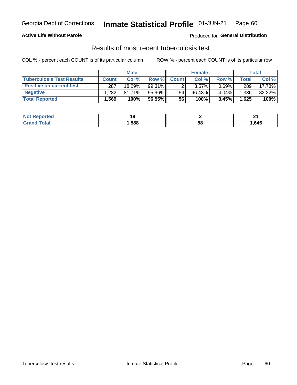## Georgia Dept of Corrections **Inmate Statistical Profile** 01-JUN-21 Page 60

### **Active Life Without Parole**

Produced for **General Distribution**

## Results of most recent tuberculosis test

COL % - percent each COUNT is of its particular column ROW % - percent each COUNT is of its particular row

|                                  | <b>Male</b>  |           |        | <b>Female</b> |           |          | Total        |        |
|----------------------------------|--------------|-----------|--------|---------------|-----------|----------|--------------|--------|
| <b>Tuberculosis Test Results</b> | <b>Count</b> | Col %     | Row %I | <b>Count</b>  | Col %     | Row %    | <b>Total</b> | Col %  |
| <b>Positive on current test</b>  | 287          | 18.29%    | 99.31% |               | $3.57\%$  | $0.69\%$ | 289          | 17.78% |
| <b>Negative</b>                  | .282         | $81.71\%$ | 95.96% | 54            | $96.43\%$ | 4.04%    | 1,336        | 82.22% |
| <b>Total Reported</b>            | .569         | 100%      | 96.55% | 56            | 100%      | 3.45%    | 1,625        | 100%   |

| <b>Not Reported</b> |      |    | n.<br>- - |
|---------------------|------|----|-----------|
| <b>Total</b><br>Gr2 | ,588 | Эō | .546،     |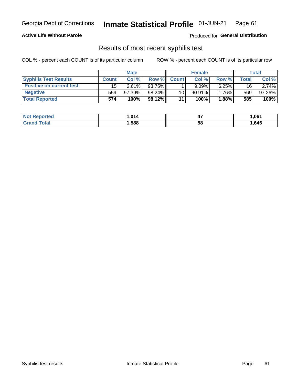## Georgia Dept of Corrections **Inmate Statistical Profile** 01-JUN-21 Page 61

### **Active Life Without Parole**

Produced for **General Distribution**

## Results of most recent syphilis test

COL % - percent each COUNT is of its particular column ROW % - percent each COUNT is of its particular row

|                                 | <b>Male</b>  |           |        | <b>Female</b> |           |          | Total  |        |
|---------------------------------|--------------|-----------|--------|---------------|-----------|----------|--------|--------|
| <b>Syphilis Test Results</b>    | <b>Count</b> | Col%      | Row %  | <b>Count</b>  | Col%      | Row %    | ⊤otal⊤ | Col %  |
| <b>Positive on current test</b> | 15           | 2.61%     | 93.75% |               | 9.09%     | $6.25\%$ | 16     | 2.74%  |
| <b>Negative</b>                 | 559          | $97.39\%$ | 98.24% | 10            | $90.91\%$ | 1.76%    | 569    | 97.26% |
| <b>Total Reported</b>           | 574          | 100%      | 98.12% | 11            | 100%      | 1.88%    | 585    | 100%   |

| <b>Not Reported</b> | 014.ا | . .<br>−. | 061,ا |
|---------------------|-------|-----------|-------|
| <b>Grand Total</b>  | ,588  | 58        | .,646 |